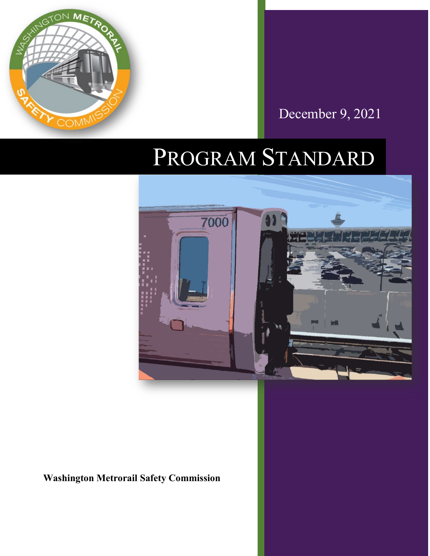

December 9, 2021

# PROGRAM STANDARD



**Washington Metrorail Safety Commission**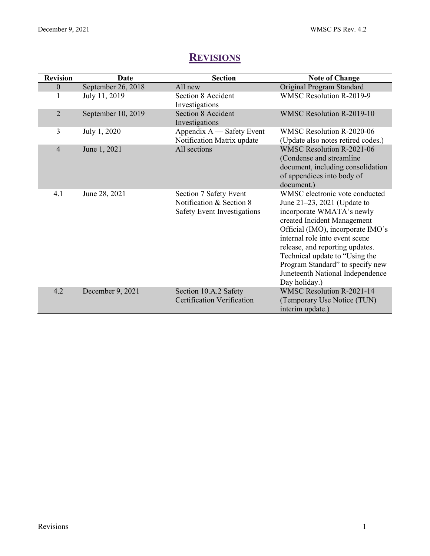<span id="page-1-0"></span>

| <b>Revision</b> | <b>Date</b>        | <b>Section</b>                                                                    | <b>Note of Change</b>                                                                                                                                                                                                                                                                                                                                               |
|-----------------|--------------------|-----------------------------------------------------------------------------------|---------------------------------------------------------------------------------------------------------------------------------------------------------------------------------------------------------------------------------------------------------------------------------------------------------------------------------------------------------------------|
| $\mathbf{0}$    | September 26, 2018 | All new                                                                           | Original Program Standard                                                                                                                                                                                                                                                                                                                                           |
| 1               | July 11, 2019      | Section 8 Accident<br>Investigations                                              | WMSC Resolution R-2019-9                                                                                                                                                                                                                                                                                                                                            |
| $\overline{2}$  | September 10, 2019 | <b>Section 8 Accident</b><br>Investigations                                       | WMSC Resolution R-2019-10                                                                                                                                                                                                                                                                                                                                           |
| 3               | July 1, 2020       | Appendix $A$ — Safety Event<br>Notification Matrix update                         | WMSC Resolution R-2020-06<br>(Update also notes retired codes.)                                                                                                                                                                                                                                                                                                     |
| $\overline{4}$  | June 1, 2021       | All sections                                                                      | <b>WMSC Resolution R-2021-06</b><br>(Condense and streamline<br>document, including consolidation<br>of appendices into body of<br>document.)                                                                                                                                                                                                                       |
| 4.1             | June 28, 2021      | Section 7 Safety Event<br>Notification & Section 8<br>Safety Event Investigations | WMSC electronic vote conducted<br>June $21-23$ , $2021$ (Update to<br>incorporate WMATA's newly<br>created Incident Management<br>Official (IMO), incorporate IMO's<br>internal role into event scene<br>release, and reporting updates.<br>Technical update to "Using the<br>Program Standard" to specify new<br>Juneteenth National Independence<br>Day holiday.) |
| 4.2             | December 9, 2021   | Section 10.A.2 Safety<br><b>Certification Verification</b>                        | <b>WMSC Resolution R-2021-14</b><br>(Temporary Use Notice (TUN)<br>interim update.)                                                                                                                                                                                                                                                                                 |

# **REVISIONS**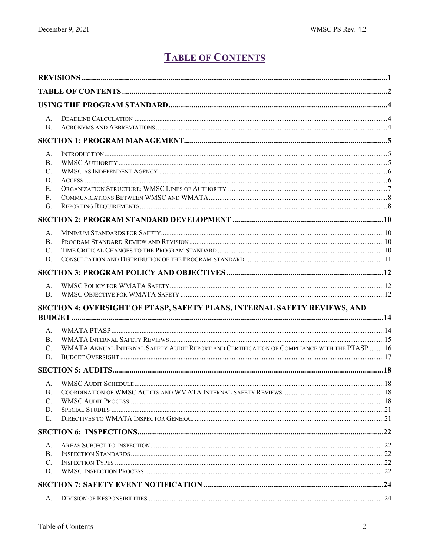# **TABLE OF CONTENTS**

<span id="page-2-0"></span>

| А.<br><b>B.</b>                                                                     |                                                                                              |  |
|-------------------------------------------------------------------------------------|----------------------------------------------------------------------------------------------|--|
| А.<br>B.<br>$C_{\cdot}$<br>D.<br>Е.<br>F <sub>r</sub><br>G.<br>А.<br>B.<br>C.<br>D. |                                                                                              |  |
|                                                                                     |                                                                                              |  |
| А.<br>B.                                                                            |                                                                                              |  |
|                                                                                     | SECTION 4: OVERSIGHT OF PTASP, SAFETY PLANS, INTERNAL SAFETY REVIEWS, AND                    |  |
| А.<br>B.<br>$C_{\cdot}$<br>D.                                                       | WMATA ANNUAL INTERNAL SAFETY AUDIT REPORT AND CERTIFICATION OF COMPLIANCE WITH THE PTASP  16 |  |
|                                                                                     |                                                                                              |  |
| А.<br><b>B.</b><br>C.<br>D.<br>Е.                                                   |                                                                                              |  |
|                                                                                     |                                                                                              |  |
| А.<br><b>B.</b><br>$\mathcal{C}$ .<br>D.                                            |                                                                                              |  |
|                                                                                     |                                                                                              |  |
| А.                                                                                  |                                                                                              |  |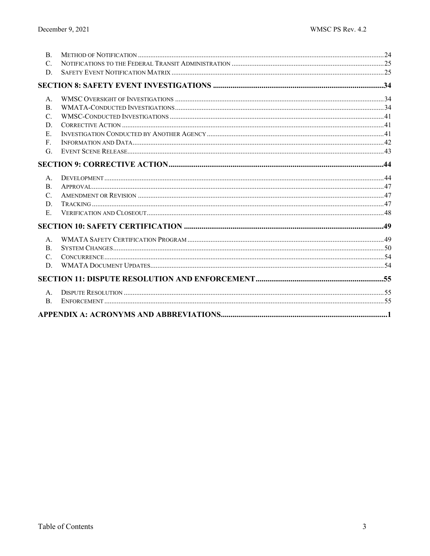| B.              |  |
|-----------------|--|
| $\mathcal{C}$ . |  |
| D.              |  |
|                 |  |
| A <sub>1</sub>  |  |
| <b>B.</b>       |  |
| $C_{\cdot}$     |  |
| D.              |  |
| $E_{\rm L}$     |  |
| F.              |  |
| G.              |  |
|                 |  |
| $A_{\cdot}$     |  |
| <b>B.</b>       |  |
| $\mathcal{C}$ . |  |
| D.              |  |
| E.              |  |
|                 |  |
| А.              |  |
| $\mathbf{B}$ .  |  |
| $C_{\cdot}$     |  |
| D.              |  |
|                 |  |
| $A_{-}$         |  |
| B.              |  |
|                 |  |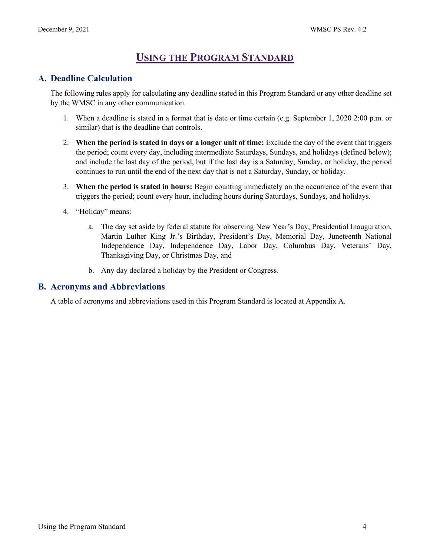# **USING THE PROGRAM STANDARD**

# <span id="page-4-1"></span><span id="page-4-0"></span>**A. Deadline Calculation**

The following rules apply for calculating any deadline stated in this Program Standard or any other deadline set by the WMSC in any other communication.

- 1. When a deadline is stated in a format that is date or time certain (e.g. September 1, 2020 2:00 p.m. or similar) that is the deadline that controls.
- 2. **When the period is stated in days or a longer unit of time:** Exclude the day of the event that triggers the period; count every day, including intermediate Saturdays, Sundays, and holidays (defined below); and include the last day of the period, but if the last day is a Saturday, Sunday, or holiday, the period continues to run until the end of the next day that is not a Saturday, Sunday, or holiday.
- 3. **When the period is stated in hours:** Begin counting immediately on the occurrence of the event that triggers the period; count every hour, including hours during Saturdays, Sundays, and holidays.
- 4. "Holiday" means:
	- a. The day set aside by federal statute for observing New Year's Day, Presidential Inauguration, Martin Luther King Jr.'s Birthday, President's Day, Memorial Day, Juneteenth National Independence Day, Independence Day, Labor Day, Columbus Day, Veterans' Day, Thanksgiving Day, or Christmas Day, and
	- b. Any day declared a holiday by the President or Congress.

# <span id="page-4-2"></span>**B. Acronyms and Abbreviations**

A table of acronyms and abbreviations used in this Program Standard is located at Appendix A.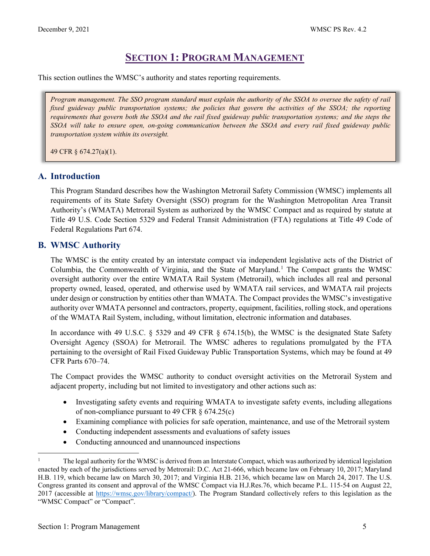# **SECTION 1: PROGRAM MANAGEMENT**

<span id="page-5-0"></span>This section outlines the WMSC's authority and states reporting requirements.

*Program management. The SSO program standard must explain the authority of the SSOA to oversee the safety of rail*  fixed guideway public transportation systems; the policies that govern the activities of the SSOA; the reporting *requirements that govern both the SSOA and the rail fixed guideway public transportation systems; and the steps the SSOA will take to ensure open, on-going communication between the SSOA and every rail fixed guideway public transportation system within its oversight.*

49 CFR § 674.27(a)(1).

### <span id="page-5-1"></span>**A. Introduction**

This Program Standard describes how the Washington Metrorail Safety Commission (WMSC) implements all requirements of its State Safety Oversight (SSO) program for the Washington Metropolitan Area Transit Authority's (WMATA) Metrorail System as authorized by the WMSC Compact and as required by statute at Title 49 U.S. Code Section 5329 and Federal Transit Administration (FTA) regulations at Title 49 Code of Federal Regulations Part 674.

### <span id="page-5-2"></span>**B. WMSC Authority**

The WMSC is the entity created by an interstate compact via independent legislative acts of the District of Columbia, the Commonwealth of Virginia, and the State of Maryland. [1](#page-5-3) The Compact grants the WMSC oversight authority over the entire WMATA Rail System (Metrorail), which includes all real and personal property owned, leased, operated, and otherwise used by WMATA rail services, and WMATA rail projects under design or construction by entities other than WMATA. The Compact provides the WMSC's investigative authority over WMATA personnel and contractors, property, equipment, facilities, rolling stock, and operations of the WMATA Rail System, including, without limitation, electronic information and databases.

In accordance with 49 U.S.C. § 5329 and 49 CFR § 674.15(b), the WMSC is the designated State Safety Oversight Agency (SSOA) for Metrorail. The WMSC adheres to regulations promulgated by the FTA pertaining to the oversight of Rail Fixed Guideway Public Transportation Systems, which may be found at 49 CFR Parts 670–74.

The Compact provides the WMSC authority to conduct oversight activities on the Metrorail System and adjacent property, including but not limited to investigatory and other actions such as:

- Investigating safety events and requiring WMATA to investigate safety events, including allegations of non-compliance pursuant to 49 CFR § 674.25(c)
- Examining compliance with policies for safe operation, maintenance, and use of the Metrorail system
- Conducting independent assessments and evaluations of safety issues
- Conducting announced and unannounced inspections

<span id="page-5-3"></span><sup>1</sup> The legal authority for the WMSC is derived from an Interstate Compact, which was authorized by identical legislation enacted by each of the jurisdictions served by Metrorail: D.C. Act 21-666, which became law on February 10, 2017; Maryland H.B. 119, which became law on March 30, 2017; and Virginia H.B. 2136, which became law on March 24, 2017. The U.S. Congress granted its consent and approval of the WMSC Compact via H.J.Res.76, which became P.L. 115-54 on August 22, 2017 (accessible at [https://wmsc.gov/library/compact/\)](https://wmsc.gov/library/compact/). The Program Standard collectively refers to this legislation as the "WMSC Compact" or "Compact".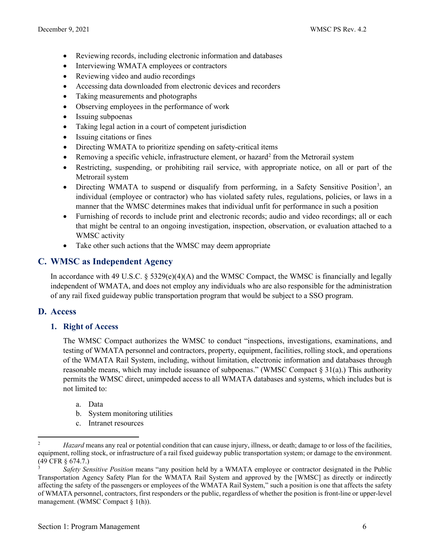- Reviewing records, including electronic information and databases
- Interviewing WMATA employees or contractors
- Reviewing video and audio recordings
- Accessing data downloaded from electronic devices and recorders
- Taking measurements and photographs
- Observing employees in the performance of work
- Issuing subpoenas
- Taking legal action in a court of competent jurisdiction
- Issuing citations or fines
- Directing WMATA to prioritize spending on safety-critical items
- Removing a specific vehicle, infrastructure element, or hazard<sup>2</sup> from the Metrorail system
- Restricting, suspending, or prohibiting rail service, with appropriate notice, on all or part of the Metrorail system
- Directing WMATA to suspend or disqualify from performing, in a Safety Sensitive Position<sup>[3](#page-6-3)</sup>, an individual (employee or contractor) who has violated safety rules, regulations, policies, or laws in a manner that the WMSC determines makes that individual unfit for performance in such a position
- Furnishing of records to include print and electronic records; audio and video recordings; all or each that might be central to an ongoing investigation, inspection, observation, or evaluation attached to a WMSC activity
- Take other such actions that the WMSC may deem appropriate

# <span id="page-6-0"></span>**C. WMSC as Independent Agency**

In accordance with 49 U.S.C.  $\S 5329(e)(4)(A)$  and the WMSC Compact, the WMSC is financially and legally independent of WMATA, and does not employ any individuals who are also responsible for the administration of any rail fixed guideway public transportation program that would be subject to a SSO program.

# <span id="page-6-1"></span>**D. Access**

**1. Right of Access**

The WMSC Compact authorizes the WMSC to conduct "inspections, investigations, examinations, and testing of WMATA personnel and contractors, property, equipment, facilities, rolling stock, and operations of the WMATA Rail System, including, without limitation, electronic information and databases through reasonable means, which may include issuance of subpoenas." (WMSC Compact § 31(a).) This authority permits the WMSC direct, unimpeded access to all WMATA databases and systems, which includes but is not limited to:

- a. Data
- b. System monitoring utilities
- c. Intranet resources

<span id="page-6-2"></span><sup>2</sup> *Hazard* means any real or potential condition that can cause injury, illness, or death; damage to or loss of the facilities, equipment, rolling stock, or infrastructure of a rail fixed guideway public transportation system; or damage to the environment. (49 CFR § 674.7.)

<span id="page-6-3"></span><sup>3</sup> *Safety Sensitive Position* means "any position held by a WMATA employee or contractor designated in the Public Transportation Agency Safety Plan for the WMATA Rail System and approved by the [WMSC] as directly or indirectly affecting the safety of the passengers or employees of the WMATA Rail System," such a position is one that affects the safety of WMATA personnel, contractors, first responders or the public, regardless of whether the position is front-line or upper-level management. (WMSC Compact § 1(h)).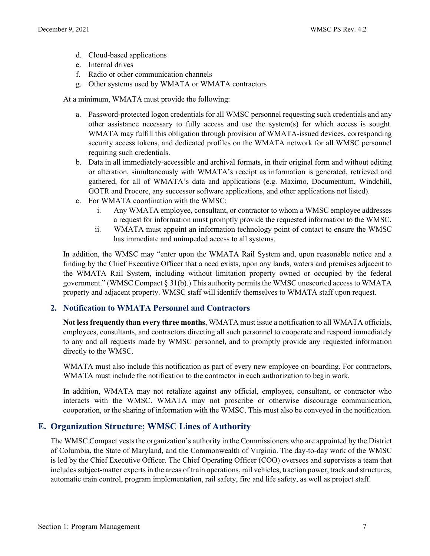- d. Cloud-based applications
- e. Internal drives
- f. Radio or other communication channels
- g. Other systems used by WMATA or WMATA contractors

At a minimum, WMATA must provide the following:

- a. Password-protected logon credentials for all WMSC personnel requesting such credentials and any other assistance necessary to fully access and use the system(s) for which access is sought. WMATA may fulfill this obligation through provision of WMATA-issued devices, corresponding security access tokens, and dedicated profiles on the WMATA network for all WMSC personnel requiring such credentials.
- b. Data in all immediately-accessible and archival formats, in their original form and without editing or alteration, simultaneously with WMATA's receipt as information is generated, retrieved and gathered, for all of WMATA's data and applications (e.g. Maximo, Documentum, Windchill, GOTR and Procore, any successor software applications, and other applications not listed).
- c. For WMATA coordination with the WMSC:
	- i. Any WMATA employee, consultant, or contractor to whom a WMSC employee addresses a request for information must promptly provide the requested information to the WMSC.
	- ii. WMATA must appoint an information technology point of contact to ensure the WMSC has immediate and unimpeded access to all systems.

In addition, the WMSC may "enter upon the WMATA Rail System and, upon reasonable notice and a finding by the Chief Executive Officer that a need exists, upon any lands, waters and premises adjacent to the WMATA Rail System, including without limitation property owned or occupied by the federal government." (WMSC Compact § 31(b).) This authority permits the WMSC unescorted access to WMATA property and adjacent property. WMSC staff will identify themselves to WMATA staff upon request.

#### **2. Notification to WMATA Personnel and Contractors**

**Not less frequently than every three months**, WMATA must issue a notification to all WMATA officials, employees, consultants, and contractors directing all such personnel to cooperate and respond immediately to any and all requests made by WMSC personnel, and to promptly provide any requested information directly to the WMSC.

WMATA must also include this notification as part of every new employee on-boarding. For contractors, WMATA must include the notification to the contractor in each authorization to begin work.

In addition, WMATA may not retaliate against any official, employee, consultant, or contractor who interacts with the WMSC. WMATA may not proscribe or otherwise discourage communication, cooperation, or the sharing of information with the WMSC. This must also be conveyed in the notification.

# <span id="page-7-0"></span>**E. Organization Structure; WMSC Lines of Authority**

The WMSC Compact vests the organization's authority in the Commissioners who are appointed by the District of Columbia, the State of Maryland, and the Commonwealth of Virginia. The day-to-day work of the WMSC is led by the Chief Executive Officer. The Chief Operating Officer (COO) oversees and supervises a team that includes subject-matter experts in the areas of train operations, rail vehicles, traction power, track and structures, automatic train control, program implementation, rail safety, fire and life safety, as well as project staff.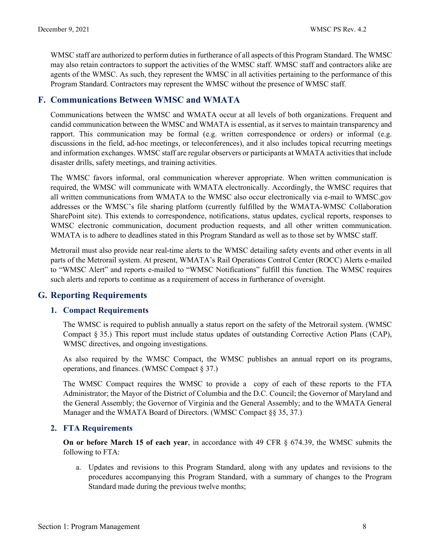WMSC staff are authorized to perform duties in furtherance of all aspects of this Program Standard. The WMSC may also retain contractors to support the activities of the WMSC staff. WMSC staff and contractors alike are agents of the WMSC. As such, they represent the WMSC in all activities pertaining to the performance of this Program Standard. Contractors may represent the WMSC without the presence of WMSC staff.

# <span id="page-8-0"></span>**F. Communications Between WMSC and WMATA**

Communications between the WMSC and WMATA occur at all levels of both organizations. Frequent and candid communication between the WMSC and WMATA is essential, as it serves to maintain transparency and rapport. This communication may be formal (e.g. written correspondence or orders) or informal (e.g. discussions in the field, ad-hoc meetings, or teleconferences), and it also includes topical recurring meetings and information exchanges. WMSC staff are regular observers or participants at WMATA activities that include disaster drills, safety meetings, and training activities.

The WMSC favors informal, oral communication wherever appropriate. When written communication is required, the WMSC will communicate with WMATA electronically. Accordingly, the WMSC requires that all written communications from WMATA to the WMSC also occur electronically via e-mail to WMSC.gov addresses or the WMSC's file sharing platform (currently fulfilled by the WMATA-WMSC Collaboration SharePoint site). This extends to correspondence, notifications, status updates, cyclical reports, responses to WMSC electronic communication, document production requests, and all other written communication. WMATA is to adhere to deadlines stated in this Program Standard as well as to those set by WMSC staff.

Metrorail must also provide near real-time alerts to the WMSC detailing safety events and other events in all parts of the Metrorail system. At present, WMATA's Rail Operations Control Center (ROCC) Alerts e-mailed to "WMSC Alert" and reports e-mailed to "WMSC Notifications" fulfill this function. The WMSC requires such alerts and reports to continue as a requirement of access in furtherance of oversight.

# <span id="page-8-1"></span>**G. Reporting Requirements**

# **1. Compact Requirements**

The WMSC is required to publish annually a status report on the safety of the Metrorail system. (WMSC Compact § 35.) This report must include status updates of outstanding Corrective Action Plans (CAP), WMSC directives, and ongoing investigations.

As also required by the WMSC Compact, the WMSC publishes an annual report on its programs, operations, and finances. (WMSC Compact § 37.)

The WMSC Compact requires the WMSC to provide a copy of each of these reports to the FTA Administrator; the Mayor of the District of Columbia and the D.C. Council; the Governor of Maryland and the General Assembly; the Governor of Virginia and the General Assembly; and to the WMATA General Manager and the WMATA Board of Directors. (WMSC Compact §§ 35, 37.)

# **2. FTA Requirements**

**On or before March 15 of each year**, in accordance with 49 CFR § 674.39, the WMSC submits the following to FTA:

a. Updates and revisions to this Program Standard, along with any updates and revisions to the procedures accompanying this Program Standard, with a summary of changes to the Program Standard made during the previous twelve months;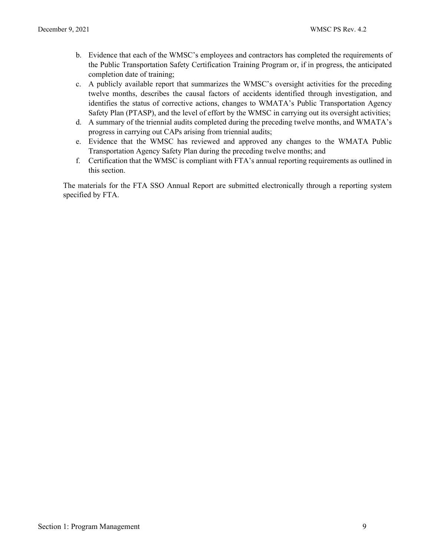- b. Evidence that each of the WMSC's employees and contractors has completed the requirements of the Public Transportation Safety Certification Training Program or, if in progress, the anticipated completion date of training;
- c. A publicly available report that summarizes the WMSC's oversight activities for the preceding twelve months, describes the causal factors of accidents identified through investigation, and identifies the status of corrective actions, changes to WMATA's Public Transportation Agency Safety Plan (PTASP), and the level of effort by the WMSC in carrying out its oversight activities;
- d. A summary of the triennial audits completed during the preceding twelve months, and WMATA's progress in carrying out CAPs arising from triennial audits;
- e. Evidence that the WMSC has reviewed and approved any changes to the WMATA Public Transportation Agency Safety Plan during the preceding twelve months; and
- f. Certification that the WMSC is compliant with FTA's annual reporting requirements as outlined in this section.

The materials for the FTA SSO Annual Report are submitted electronically through a reporting system specified by FTA.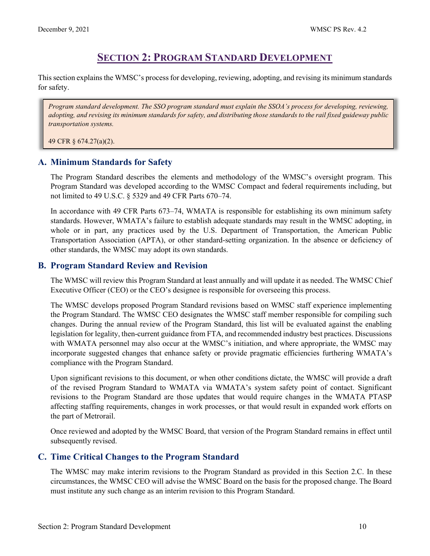# **SECTION 2: PROGRAM STANDARD DEVELOPMENT**

<span id="page-10-0"></span>This section explains the WMSC's process for developing, reviewing, adopting, and revising its minimum standards for safety.

*Program standard development. The SSO program standard must explain the SSOA's process for developing, reviewing, adopting, and revising its minimum standards for safety, and distributing those standards to the rail fixed guideway public transportation systems.*

49 CFR § 674.27(a)(2).

# <span id="page-10-1"></span>**A. Minimum Standards for Safety**

The Program Standard describes the elements and methodology of the WMSC's oversight program. This Program Standard was developed according to the WMSC Compact and federal requirements including, but not limited to 49 U.S.C. § 5329 and 49 CFR Parts 670–74.

In accordance with 49 CFR Parts 673–74, WMATA is responsible for establishing its own minimum safety standards. However, WMATA's failure to establish adequate standards may result in the WMSC adopting, in whole or in part, any practices used by the U.S. Department of Transportation, the American Public Transportation Association (APTA), or other standard-setting organization. In the absence or deficiency of other standards, the WMSC may adopt its own standards.

# <span id="page-10-2"></span>**B. Program Standard Review and Revision**

The WMSC will review this Program Standard at least annually and will update it as needed. The WMSC Chief Executive Officer (CEO) or the CEO's designee is responsible for overseeing this process.

The WMSC develops proposed Program Standard revisions based on WMSC staff experience implementing the Program Standard. The WMSC CEO designates the WMSC staff member responsible for compiling such changes. During the annual review of the Program Standard, this list will be evaluated against the enabling legislation for legality, then-current guidance from FTA, and recommended industry best practices. Discussions with WMATA personnel may also occur at the WMSC's initiation, and where appropriate, the WMSC may incorporate suggested changes that enhance safety or provide pragmatic efficiencies furthering WMATA's compliance with the Program Standard.

Upon significant revisions to this document, or when other conditions dictate, the WMSC will provide a draft of the revised Program Standard to WMATA via WMATA's system safety point of contact. Significant revisions to the Program Standard are those updates that would require changes in the WMATA PTASP affecting staffing requirements, changes in work processes, or that would result in expanded work efforts on the part of Metrorail.

Once reviewed and adopted by the WMSC Board, that version of the Program Standard remains in effect until subsequently revised.

# <span id="page-10-3"></span>**C. Time Critical Changes to the Program Standard**

The WMSC may make interim revisions to the Program Standard as provided in this Section 2.C. In these circumstances, the WMSC CEO will advise the WMSC Board on the basis for the proposed change. The Board must institute any such change as an interim revision to this Program Standard.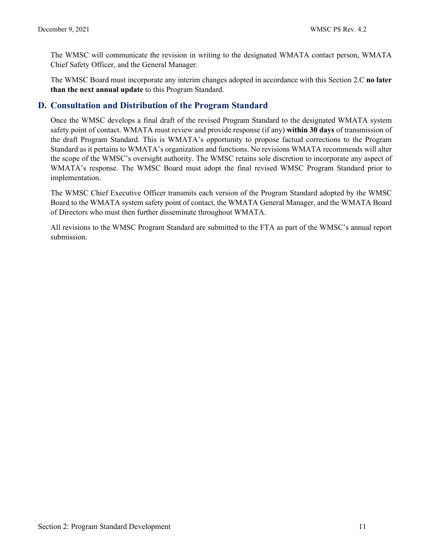The WMSC will communicate the revision in writing to the designated WMATA contact person, WMATA Chief Safety Officer, and the General Manager.

The WMSC Board must incorporate any interim changes adopted in accordance with this Section 2.C **no later than the next annual update** to this Program Standard.

# <span id="page-11-0"></span>**D. Consultation and Distribution of the Program Standard**

Once the WMSC develops a final draft of the revised Program Standard to the designated WMATA system safety point of contact. WMATA must review and provide response (if any) **within 30 days** of transmission of the draft Program Standard. This is WMATA's opportunity to propose factual corrections to the Program Standard as it pertains to WMATA's organization and functions. No revisions WMATA recommends will alter the scope of the WMSC's oversight authority. The WMSC retains sole discretion to incorporate any aspect of WMATA's response. The WMSC Board must adopt the final revised WMSC Program Standard prior to implementation.

The WMSC Chief Executive Officer transmits each version of the Program Standard adopted by the WMSC Board to the WMATA system safety point of contact, the WMATA General Manager, and the WMATA Board of Directors who must then further disseminate throughout WMATA.

All revisions to the WMSC Program Standard are submitted to the FTA as part of the WMSC's annual report submission.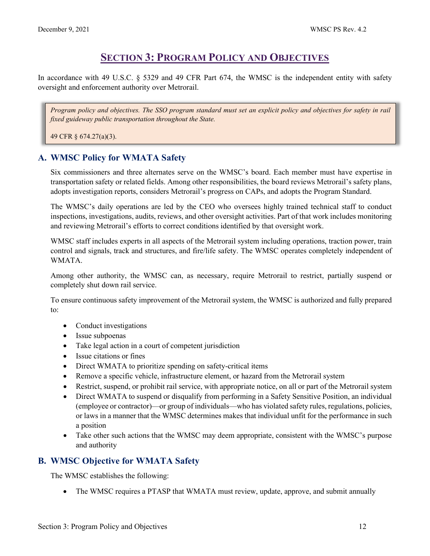# **SECTION 3: PROGRAM POLICY AND OBJECTIVES**

<span id="page-12-0"></span>In accordance with 49 U.S.C. § 5329 and 49 CFR Part 674, the WMSC is the independent entity with safety oversight and enforcement authority over Metrorail.

*Program policy and objectives. The SSO program standard must set an explicit policy and objectives for safety in rail fixed guideway public transportation throughout the State.*

49 CFR § 674.27(a)(3).

# <span id="page-12-1"></span>**A. WMSC Policy for WMATA Safety**

Six commissioners and three alternates serve on the WMSC's board. Each member must have expertise in transportation safety or related fields. Among other responsibilities, the board reviews Metrorail's safety plans, adopts investigation reports, considers Metrorail's progress on CAPs, and adopts the Program Standard.

The WMSC's daily operations are led by the CEO who oversees highly trained technical staff to conduct inspections, investigations, audits, reviews, and other oversight activities. Part of that work includes monitoring and reviewing Metrorail's efforts to correct conditions identified by that oversight work.

WMSC staff includes experts in all aspects of the Metrorail system including operations, traction power, train control and signals, track and structures, and fire/life safety. The WMSC operates completely independent of WMATA.

Among other authority, the WMSC can, as necessary, require Metrorail to restrict, partially suspend or completely shut down rail service.

To ensure continuous safety improvement of the Metrorail system, the WMSC is authorized and fully prepared  $t \circ$ :

- Conduct investigations
- Issue subpoenas
- Take legal action in a court of competent jurisdiction
- Issue citations or fines
- Direct WMATA to prioritize spending on safety-critical items
- Remove a specific vehicle, infrastructure element, or hazard from the Metrorail system
- Restrict, suspend, or prohibit rail service, with appropriate notice, on all or part of the Metrorail system
- Direct WMATA to suspend or disqualify from performing in a Safety Sensitive Position, an individual (employee or contractor)—or group of individuals—who has violated safety rules, regulations, policies, or laws in a manner that the WMSC determines makes that individual unfit for the performance in such a position
- Take other such actions that the WMSC may deem appropriate, consistent with the WMSC's purpose and authority

# <span id="page-12-2"></span>**B. WMSC Objective for WMATA Safety**

The WMSC establishes the following:

• The WMSC requires a PTASP that WMATA must review, update, approve, and submit annually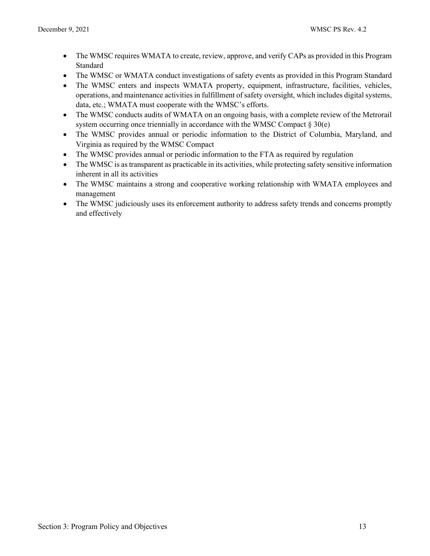- The WMSC requires WMATA to create, review, approve, and verify CAPs as provided in this Program Standard
- The WMSC or WMATA conduct investigations of safety events as provided in this Program Standard
- The WMSC enters and inspects WMATA property, equipment, infrastructure, facilities, vehicles, operations, and maintenance activities in fulfillment of safety oversight, which includes digital systems, data, etc.; WMATA must cooperate with the WMSC's efforts.
- The WMSC conducts audits of WMATA on an ongoing basis, with a complete review of the Metrorail system occurring once triennially in accordance with the WMSC Compact  $\S 30(e)$
- The WMSC provides annual or periodic information to the District of Columbia, Maryland, and Virginia as required by the WMSC Compact
- The WMSC provides annual or periodic information to the FTA as required by regulation
- The WMSC is as transparent as practicable in its activities, while protecting safety sensitive information inherent in all its activities
- The WMSC maintains a strong and cooperative working relationship with WMATA employees and management
- The WMSC judiciously uses its enforcement authority to address safety trends and concerns promptly and effectively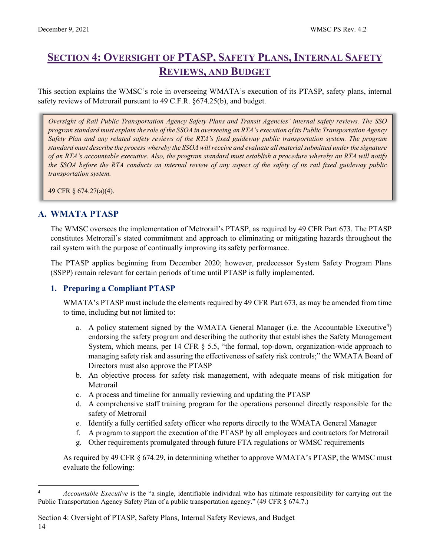# <span id="page-14-0"></span>**SECTION 4: OVERSIGHT OF PTASP, SAFETY PLANS, INTERNAL SAFETY REVIEWS, AND BUDGET**

This section explains the WMSC's role in overseeing WMATA's execution of its PTASP, safety plans, internal safety reviews of Metrorail pursuant to 49 C.F.R. §674.25(b), and budget.

*Oversight of Rail Public Transportation Agency Safety Plans and Transit Agencies' internal safety reviews. The SSO program standard must explain the role of the SSOA in overseeing an RTA's execution of its Public Transportation Agency Safety Plan and any related safety reviews of the RTA's fixed guideway public transportation system. The program standard must describe the process whereby the SSOA will receive and evaluate all material submitted under the signature of an RTA's accountable executive. Also, the program standard must establish a procedure whereby an RTA will notify the SSOA before the RTA conducts an internal review of any aspect of the safety of its rail fixed guideway public transportation system.*

49 CFR § 674.27(a)(4).

# <span id="page-14-1"></span>**A. WMATA PTASP**

The WMSC oversees the implementation of Metrorail's PTASP, as required by 49 CFR Part 673. The PTASP constitutes Metrorail's stated commitment and approach to eliminating or mitigating hazards throughout the rail system with the purpose of continually improving its safety performance.

The PTASP applies beginning from December 2020; however, predecessor System Safety Program Plans (SSPP) remain relevant for certain periods of time until PTASP is fully implemented.

#### **1. Preparing a Compliant PTASP**

WMATA's PTASP must include the elements required by 49 CFR Part 673, as may be amended from time to time, including but not limited to:

- a. A policy statement signed by the WMATA General Manager (i.e. the Accountable Executive<sup>[4](#page-14-2)</sup>) endorsing the safety program and describing the authority that establishes the Safety Management System, which means, per 14 CFR § 5.5, "the formal, top-down, organization-wide approach to managing safety risk and assuring the effectiveness of safety risk controls;" the WMATA Board of Directors must also approve the PTASP
- b. An objective process for safety risk management, with adequate means of risk mitigation for Metrorail
- c. A process and timeline for annually reviewing and updating the PTASP
- d. A comprehensive staff training program for the operations personnel directly responsible for the safety of Metrorail
- e. Identify a fully certified safety officer who reports directly to the WMATA General Manager
- f. A program to support the execution of the PTASP by all employees and contractors for Metrorail
- g. Other requirements promulgated through future FTA regulations or WMSC requirements

As required by 49 CFR § 674.29, in determining whether to approve WMATA's PTASP, the WMSC must evaluate the following:

<span id="page-14-2"></span><sup>4</sup> *Accountable Executive* is the "a single, identifiable individual who has ultimate responsibility for carrying out the Public Transportation Agency Safety Plan of a public transportation agency." (49 CFR § 674.7.)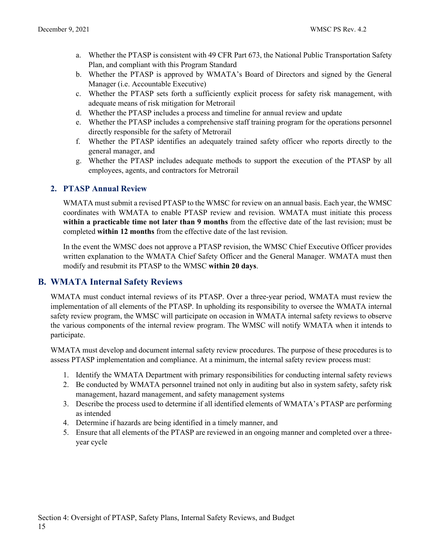- a. Whether the PTASP is consistent with 49 CFR Part 673, the National Public Transportation Safety Plan, and compliant with this Program Standard
- b. Whether the PTASP is approved by WMATA's Board of Directors and signed by the General Manager (i.e. Accountable Executive)
- c. Whether the PTASP sets forth a sufficiently explicit process for safety risk management, with adequate means of risk mitigation for Metrorail
- d. Whether the PTASP includes a process and timeline for annual review and update
- e. Whether the PTASP includes a comprehensive staff training program for the operations personnel directly responsible for the safety of Metrorail
- f. Whether the PTASP identifies an adequately trained safety officer who reports directly to the general manager, and
- g. Whether the PTASP includes adequate methods to support the execution of the PTASP by all employees, agents, and contractors for Metrorail

# **2. PTASP Annual Review**

WMATA must submit a revised PTASP to the WMSC for review on an annual basis. Each year, the WMSC coordinates with WMATA to enable PTASP review and revision. WMATA must initiate this process **within a practicable time not later than 9 months** from the effective date of the last revision; must be completed **within 12 months** from the effective date of the last revision.

In the event the WMSC does not approve a PTASP revision, the WMSC Chief Executive Officer provides written explanation to the WMATA Chief Safety Officer and the General Manager. WMATA must then modify and resubmit its PTASP to the WMSC **within 20 days**.

# <span id="page-15-0"></span>**B. WMATA Internal Safety Reviews**

WMATA must conduct internal reviews of its PTASP. Over a three-year period, WMATA must review the implementation of all elements of the PTASP. In upholding its responsibility to oversee the WMATA internal safety review program, the WMSC will participate on occasion in WMATA internal safety reviews to observe the various components of the internal review program. The WMSC will notify WMATA when it intends to participate.

WMATA must develop and document internal safety review procedures. The purpose of these procedures is to assess PTASP implementation and compliance. At a minimum, the internal safety review process must:

- 1. Identify the WMATA Department with primary responsibilities for conducting internal safety reviews
- 2. Be conducted by WMATA personnel trained not only in auditing but also in system safety, safety risk management, hazard management, and safety management systems
- 3. Describe the process used to determine if all identified elements of WMATA's PTASP are performing as intended
- 4. Determine if hazards are being identified in a timely manner, and
- 5. Ensure that all elements of the PTASP are reviewed in an ongoing manner and completed over a threeyear cycle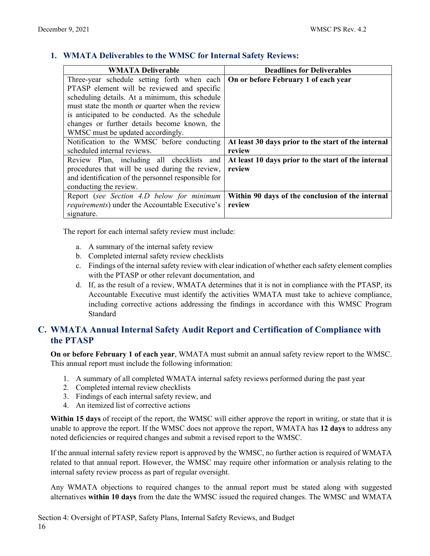### **1. WMATA Deliverables to the WMSC for Internal Safety Reviews:**

| <b>WMATA Deliverable</b>                                | <b>Deadlines for Deliverables</b>                   |
|---------------------------------------------------------|-----------------------------------------------------|
| Three-year schedule setting forth when each             | On or before February 1 of each year                |
| PTASP element will be reviewed and specific             |                                                     |
| scheduling details. At a minimum, this schedule         |                                                     |
| must state the month or quarter when the review         |                                                     |
| is anticipated to be conducted. As the schedule         |                                                     |
| changes or further details become known, the            |                                                     |
| WMSC must be updated accordingly.                       |                                                     |
| Notification to the WMSC before conducting              | At least 30 days prior to the start of the internal |
| scheduled internal reviews.                             | review                                              |
| Review Plan, including all checklists and               | At least 10 days prior to the start of the internal |
| procedures that will be used during the review,         | review                                              |
| and identification of the personnel responsible for     |                                                     |
| conducting the review.                                  |                                                     |
| Report (see Section 4.D below for minimum               | Within 90 days of the conclusion of the internal    |
| <i>requirements</i> ) under the Accountable Executive's | review                                              |
| signature.                                              |                                                     |

The report for each internal safety review must include:

- a. A summary of the internal safety review
- b. Completed internal safety review checklists
- c. Findings of the internal safety review with clear indication of whether each safety element complies with the PTASP or other relevant documentation, and
- d. If, as the result of a review, WMATA determines that it is not in compliance with the PTASP, its Accountable Executive must identify the activities WMATA must take to achieve compliance, including corrective actions addressing the findings in accordance with this WMSC Program Standard

# <span id="page-16-0"></span>**C. WMATA Annual Internal Safety Audit Report and Certification of Compliance with the PTASP**

**On or before February 1 of each year**, WMATA must submit an annual safety review report to the WMSC. This annual report must include the following information:

- 1. A summary of all completed WMATA internal safety reviews performed during the past year
- 2. Completed internal review checklists
- 3. Findings of each internal safety review, and
- 4. An itemized list of corrective actions

**Within 15 days** of receipt of the report, the WMSC will either approve the report in writing, or state that it is unable to approve the report. If the WMSC does not approve the report, WMATA has **12 days** to address any noted deficiencies or required changes and submit a revised report to the WMSC.

If the annual internal safety review report is approved by the WMSC, no further action is required of WMATA related to that annual report. However, the WMSC may require other information or analysis relating to the internal safety review process as part of regular oversight.

Any WMATA objections to required changes to the annual report must be stated along with suggested alternatives **within 10 days** from the date the WMSC issued the required changes. The WMSC and WMATA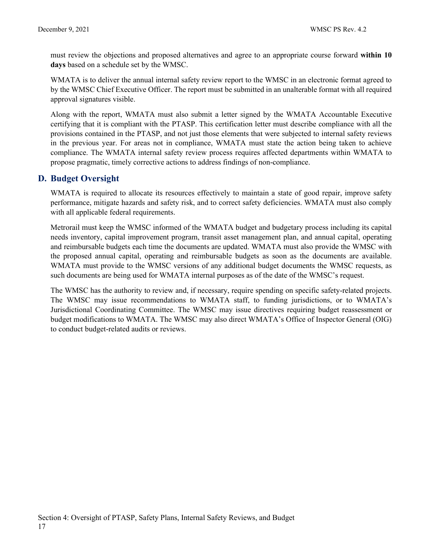must review the objections and proposed alternatives and agree to an appropriate course forward **within 10 days** based on a schedule set by the WMSC.

WMATA is to deliver the annual internal safety review report to the WMSC in an electronic format agreed to by the WMSC Chief Executive Officer. The report must be submitted in an unalterable format with all required approval signatures visible.

Along with the report, WMATA must also submit a letter signed by the WMATA Accountable Executive certifying that it is compliant with the PTASP. This certification letter must describe compliance with all the provisions contained in the PTASP, and not just those elements that were subjected to internal safety reviews in the previous year. For areas not in compliance, WMATA must state the action being taken to achieve compliance. The WMATA internal safety review process requires affected departments within WMATA to propose pragmatic, timely corrective actions to address findings of non-compliance.

# <span id="page-17-0"></span>**D. Budget Oversight**

WMATA is required to allocate its resources effectively to maintain a state of good repair, improve safety performance, mitigate hazards and safety risk, and to correct safety deficiencies. WMATA must also comply with all applicable federal requirements.

Metrorail must keep the WMSC informed of the WMATA budget and budgetary process including its capital needs inventory, capital improvement program, transit asset management plan, and annual capital, operating and reimbursable budgets each time the documents are updated. WMATA must also provide the WMSC with the proposed annual capital, operating and reimbursable budgets as soon as the documents are available. WMATA must provide to the WMSC versions of any additional budget documents the WMSC requests, as such documents are being used for WMATA internal purposes as of the date of the WMSC's request.

The WMSC has the authority to review and, if necessary, require spending on specific safety-related projects. The WMSC may issue recommendations to WMATA staff, to funding jurisdictions, or to WMATA's Jurisdictional Coordinating Committee. The WMSC may issue directives requiring budget reassessment or budget modifications to WMATA. The WMSC may also direct WMATA's Office of Inspector General (OIG) to conduct budget-related audits or reviews.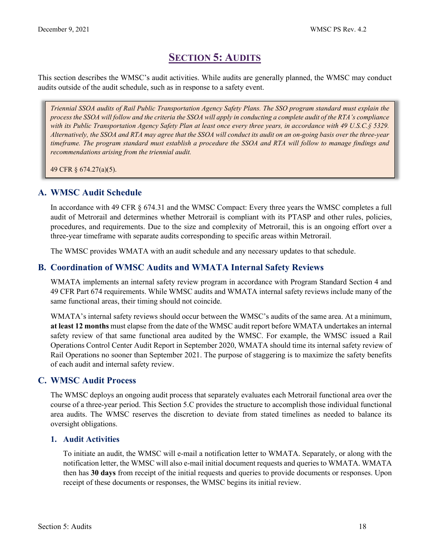# **SECTION 5: AUDITS**

<span id="page-18-0"></span>This section describes the WMSC's audit activities. While audits are generally planned, the WMSC may conduct audits outside of the audit schedule, such as in response to a safety event.

*Triennial SSOA audits of Rail Public Transportation Agency Safety Plans. The SSO program standard must explain the process the SSOA will follow and the criteria the SSOA will apply in conducting a complete audit of the RTA's compliance with its Public Transportation Agency Safety Plan at least once every three years, in accordance with 49 U.S.C.§ 5329. Alternatively, the SSOA and RTA may agree that the SSOA will conduct its audit on an on-going basis over the three-year timeframe. The program standard must establish a procedure the SSOA and RTA will follow to manage findings and recommendations arising from the triennial audit.*

49 CFR § 674.27(a)(5).

# <span id="page-18-1"></span>**A. WMSC Audit Schedule**

In accordance with 49 CFR § 674.31 and the WMSC Compact: Every three years the WMSC completes a full audit of Metrorail and determines whether Metrorail is compliant with its PTASP and other rules, policies, procedures, and requirements. Due to the size and complexity of Metrorail, this is an ongoing effort over a three-year timeframe with separate audits corresponding to specific areas within Metrorail.

The WMSC provides WMATA with an audit schedule and any necessary updates to that schedule.

# <span id="page-18-2"></span>**B. Coordination of WMSC Audits and WMATA Internal Safety Reviews**

WMATA implements an internal safety review program in accordance with Program Standard Section 4 and 49 CFR Part 674 requirements. While WMSC audits and WMATA internal safety reviews include many of the same functional areas, their timing should not coincide.

WMATA's internal safety reviews should occur between the WMSC's audits of the same area. At a minimum, **at least 12 months** must elapse from the date of the WMSC audit report before WMATA undertakes an internal safety review of that same functional area audited by the WMSC. For example, the WMSC issued a Rail Operations Control Center Audit Report in September 2020, WMATA should time its internal safety review of Rail Operations no sooner than September 2021. The purpose of staggering is to maximize the safety benefits of each audit and internal safety review.

# <span id="page-18-3"></span>**C. WMSC Audit Process**

The WMSC deploys an ongoing audit process that separately evaluates each Metrorail functional area over the course of a three-year period. This Section 5.C provides the structure to accomplish those individual functional area audits. The WMSC reserves the discretion to deviate from stated timelines as needed to balance its oversight obligations.

# **1. Audit Activities**

To initiate an audit, the WMSC will e-mail a notification letter to WMATA. Separately, or along with the notification letter, the WMSC will also e-mail initial document requests and queries to WMATA. WMATA then has **30 days** from receipt of the initial requests and queries to provide documents or responses. Upon receipt of these documents or responses, the WMSC begins its initial review.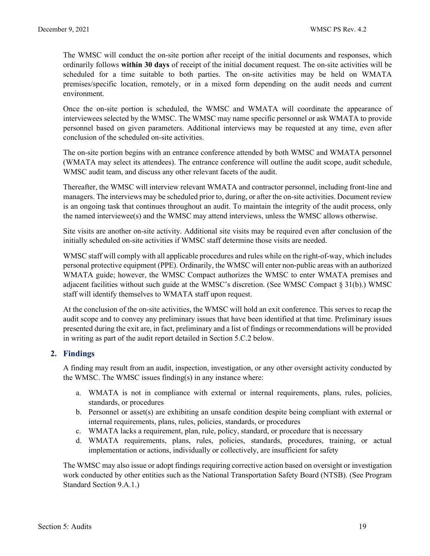The WMSC will conduct the on-site portion after receipt of the initial documents and responses, which ordinarily follows **within 30 days** of receipt of the initial document request. The on-site activities will be scheduled for a time suitable to both parties. The on-site activities may be held on WMATA premises/specific location, remotely, or in a mixed form depending on the audit needs and current environment.

Once the on-site portion is scheduled, the WMSC and WMATA will coordinate the appearance of interviewees selected by the WMSC. The WMSC may name specific personnel or ask WMATA to provide personnel based on given parameters. Additional interviews may be requested at any time, even after conclusion of the scheduled on-site activities.

The on-site portion begins with an entrance conference attended by both WMSC and WMATA personnel (WMATA may select its attendees). The entrance conference will outline the audit scope, audit schedule, WMSC audit team, and discuss any other relevant facets of the audit.

Thereafter, the WMSC will interview relevant WMATA and contractor personnel, including front-line and managers. The interviews may be scheduled prior to, during, or after the on-site activities. Document review is an ongoing task that continues throughout an audit. To maintain the integrity of the audit process, only the named interviewee(s) and the WMSC may attend interviews, unless the WMSC allows otherwise.

Site visits are another on-site activity. Additional site visits may be required even after conclusion of the initially scheduled on-site activities if WMSC staff determine those visits are needed.

WMSC staff will comply with all applicable procedures and rules while on the right-of-way, which includes personal protective equipment (PPE). Ordinarily, the WMSC will enter non-public areas with an authorized WMATA guide; however, the WMSC Compact authorizes the WMSC to enter WMATA premises and adjacent facilities without such guide at the WMSC's discretion. (See WMSC Compact § 31(b).) WMSC staff will identify themselves to WMATA staff upon request.

At the conclusion of the on-site activities, the WMSC will hold an exit conference. This serves to recap the audit scope and to convey any preliminary issues that have been identified at that time. Preliminary issues presented during the exit are, in fact, preliminary and a list of findings or recommendations will be provided in writing as part of the audit report detailed in Section 5.C.2 below.

# **2. Findings**

A finding may result from an audit, inspection, investigation, or any other oversight activity conducted by the WMSC. The WMSC issues finding(s) in any instance where:

- a. WMATA is not in compliance with external or internal requirements, plans, rules, policies, standards, or procedures
- b. Personnel or asset(s) are exhibiting an unsafe condition despite being compliant with external or internal requirements, plans, rules, policies, standards, or procedures
- c. WMATA lacks a requirement, plan, rule, policy, standard, or procedure that is necessary
- d. WMATA requirements, plans, rules, policies, standards, procedures, training, or actual implementation or actions, individually or collectively, are insufficient for safety

The WMSC may also issue or adopt findings requiring corrective action based on oversight or investigation work conducted by other entities such as the National Transportation Safety Board (NTSB). (See Program Standard Section 9.A.1.)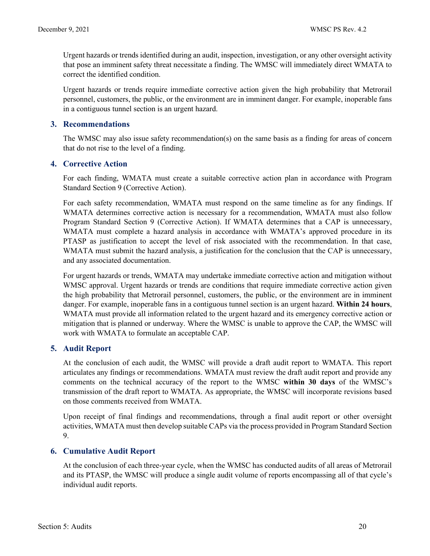Urgent hazards or trends identified during an audit, inspection, investigation, or any other oversight activity that pose an imminent safety threat necessitate a finding. The WMSC will immediately direct WMATA to correct the identified condition.

Urgent hazards or trends require immediate corrective action given the high probability that Metrorail personnel, customers, the public, or the environment are in imminent danger. For example, inoperable fans in a contiguous tunnel section is an urgent hazard.

#### **3. Recommendations**

The WMSC may also issue safety recommendation(s) on the same basis as a finding for areas of concern that do not rise to the level of a finding.

### **4. Corrective Action**

For each finding, WMATA must create a suitable corrective action plan in accordance with Program Standard Section 9 (Corrective Action).

For each safety recommendation, WMATA must respond on the same timeline as for any findings. If WMATA determines corrective action is necessary for a recommendation, WMATA must also follow Program Standard Section 9 (Corrective Action). If WMATA determines that a CAP is unnecessary, WMATA must complete a hazard analysis in accordance with WMATA's approved procedure in its PTASP as justification to accept the level of risk associated with the recommendation. In that case, WMATA must submit the hazard analysis, a justification for the conclusion that the CAP is unnecessary, and any associated documentation.

For urgent hazards or trends, WMATA may undertake immediate corrective action and mitigation without WMSC approval. Urgent hazards or trends are conditions that require immediate corrective action given the high probability that Metrorail personnel, customers, the public, or the environment are in imminent danger. For example, inoperable fans in a contiguous tunnel section is an urgent hazard. **Within 24 hours**, WMATA must provide all information related to the urgent hazard and its emergency corrective action or mitigation that is planned or underway. Where the WMSC is unable to approve the CAP, the WMSC will work with WMATA to formulate an acceptable CAP.

# **5. Audit Report**

At the conclusion of each audit, the WMSC will provide a draft audit report to WMATA. This report articulates any findings or recommendations. WMATA must review the draft audit report and provide any comments on the technical accuracy of the report to the WMSC **within 30 days** of the WMSC's transmission of the draft report to WMATA. As appropriate, the WMSC will incorporate revisions based on those comments received from WMATA.

Upon receipt of final findings and recommendations, through a final audit report or other oversight activities, WMATA must then develop suitable CAPs via the process provided in Program Standard Section 9.

# **6. Cumulative Audit Report**

At the conclusion of each three-year cycle, when the WMSC has conducted audits of all areas of Metrorail and its PTASP, the WMSC will produce a single audit volume of reports encompassing all of that cycle's individual audit reports.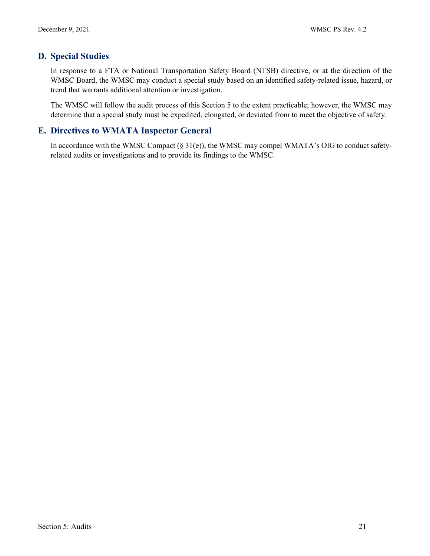# <span id="page-21-0"></span>**D. Special Studies**

In response to a FTA or National Transportation Safety Board (NTSB) directive, or at the direction of the WMSC Board, the WMSC may conduct a special study based on an identified safety-related issue, hazard, or trend that warrants additional attention or investigation.

The WMSC will follow the audit process of this Section 5 to the extent practicable; however, the WMSC may determine that a special study must be expedited, elongated, or deviated from to meet the objective of safety.

# <span id="page-21-1"></span>**E. Directives to WMATA Inspector General**

In accordance with the WMSC Compact (§ 31(e)), the WMSC may compel WMATA's OIG to conduct safetyrelated audits or investigations and to provide its findings to the WMSC.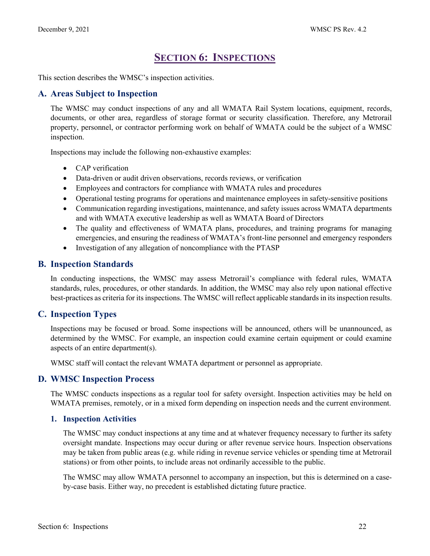# **SECTION 6: INSPECTIONS**

<span id="page-22-0"></span>This section describes the WMSC's inspection activities.

# <span id="page-22-1"></span>**A. Areas Subject to Inspection**

The WMSC may conduct inspections of any and all WMATA Rail System locations, equipment, records, documents, or other area, regardless of storage format or security classification. Therefore, any Metrorail property, personnel, or contractor performing work on behalf of WMATA could be the subject of a WMSC inspection.

Inspections may include the following non-exhaustive examples:

- CAP verification
- Data-driven or audit driven observations, records reviews, or verification
- Employees and contractors for compliance with WMATA rules and procedures
- Operational testing programs for operations and maintenance employees in safety-sensitive positions
- Communication regarding investigations, maintenance, and safety issues across WMATA departments and with WMATA executive leadership as well as WMATA Board of Directors
- The quality and effectiveness of WMATA plans, procedures, and training programs for managing emergencies, and ensuring the readiness of WMATA's front-line personnel and emergency responders
- Investigation of any allegation of noncompliance with the PTASP

### <span id="page-22-2"></span>**B. Inspection Standards**

In conducting inspections, the WMSC may assess Metrorail's compliance with federal rules, WMATA standards, rules, procedures, or other standards. In addition, the WMSC may also rely upon national effective best-practices as criteria for its inspections. The WMSC will reflect applicable standards in its inspection results.

# <span id="page-22-3"></span>**C. Inspection Types**

Inspections may be focused or broad. Some inspections will be announced, others will be unannounced, as determined by the WMSC. For example, an inspection could examine certain equipment or could examine aspects of an entire department(s).

WMSC staff will contact the relevant WMATA department or personnel as appropriate.

# <span id="page-22-4"></span>**D. WMSC Inspection Process**

The WMSC conducts inspections as a regular tool for safety oversight. Inspection activities may be held on WMATA premises, remotely, or in a mixed form depending on inspection needs and the current environment.

#### **1. Inspection Activities**

The WMSC may conduct inspections at any time and at whatever frequency necessary to further its safety oversight mandate. Inspections may occur during or after revenue service hours. Inspection observations may be taken from public areas (e.g. while riding in revenue service vehicles or spending time at Metrorail stations) or from other points, to include areas not ordinarily accessible to the public.

The WMSC may allow WMATA personnel to accompany an inspection, but this is determined on a caseby-case basis. Either way, no precedent is established dictating future practice.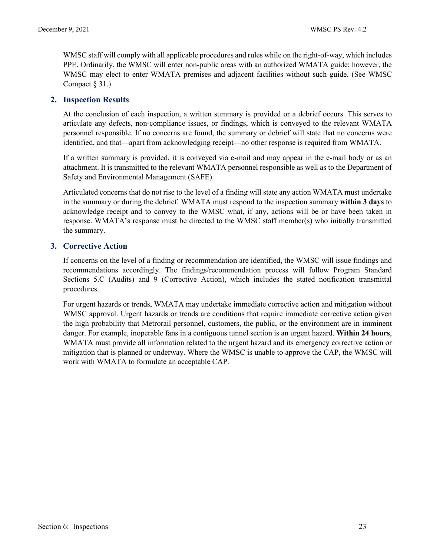WMSC staff will comply with all applicable procedures and rules while on the right-of-way, which includes PPE. Ordinarily, the WMSC will enter non-public areas with an authorized WMATA guide; however, the WMSC may elect to enter WMATA premises and adjacent facilities without such guide. (See WMSC Compact  $\S 31.$ )

### **2. Inspection Results**

At the conclusion of each inspection, a written summary is provided or a debrief occurs. This serves to articulate any defects, non-compliance issues, or findings, which is conveyed to the relevant WMATA personnel responsible. If no concerns are found, the summary or debrief will state that no concerns were identified, and that—apart from acknowledging receipt—no other response is required from WMATA.

If a written summary is provided, it is conveyed via e-mail and may appear in the e-mail body or as an attachment. It is transmitted to the relevant WMATA personnel responsible as well as to the Department of Safety and Environmental Management (SAFE).

Articulated concerns that do not rise to the level of a finding will state any action WMATA must undertake in the summary or during the debrief. WMATA must respond to the inspection summary **within 3 days** to acknowledge receipt and to convey to the WMSC what, if any, actions will be or have been taken in response. WMATA's response must be directed to the WMSC staff member(s) who initially transmitted the summary.

#### **3. Corrective Action**

If concerns on the level of a finding or recommendation are identified, the WMSC will issue findings and recommendations accordingly. The findings/recommendation process will follow Program Standard Sections 5.C (Audits) and 9 (Corrective Action), which includes the stated notification transmittal procedures.

For urgent hazards or trends, WMATA may undertake immediate corrective action and mitigation without WMSC approval. Urgent hazards or trends are conditions that require immediate corrective action given the high probability that Metrorail personnel, customers, the public, or the environment are in imminent danger. For example, inoperable fans in a contiguous tunnel section is an urgent hazard. **Within 24 hours**, WMATA must provide all information related to the urgent hazard and its emergency corrective action or mitigation that is planned or underway. Where the WMSC is unable to approve the CAP, the WMSC will work with WMATA to formulate an acceptable CAP.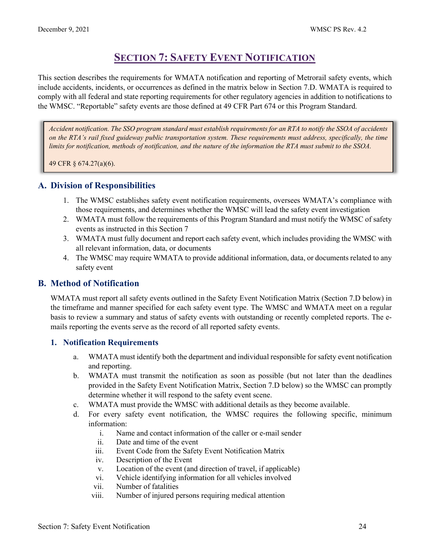# **SECTION 7: SAFETY EVENT NOTIFICATION**

<span id="page-24-0"></span>This section describes the requirements for WMATA notification and reporting of Metrorail safety events, which include accidents, incidents, or occurrences as defined in the matrix below in Section 7.D. WMATA is required to comply with all federal and state reporting requirements for other regulatory agencies in addition to notifications to the WMSC. "Reportable" safety events are those defined at 49 CFR Part 674 or this Program Standard.

*Accident notification. The SSO program standard must establish requirements for an RTA to notify the SSOA of accidents on the RTA's rail fixed guideway public transportation system. These requirements must address, specifically, the time limits for notification, methods of notification, and the nature of the information the RTA must submit to the SSOA.*

49 CFR § 674.27(a)(6).

# <span id="page-24-1"></span>**A. Division of Responsibilities**

- 1. The WMSC establishes safety event notification requirements, oversees WMATA's compliance with those requirements, and determines whether the WMSC will lead the safety event investigation
- 2. WMATA must follow the requirements of this Program Standard and must notify the WMSC of safety events as instructed in this Section 7
- 3. WMATA must fully document and report each safety event, which includes providing the WMSC with all relevant information, data, or documents
- 4. The WMSC may require WMATA to provide additional information, data, or documents related to any safety event

# <span id="page-24-2"></span>**B. Method of Notification**

WMATA must report all safety events outlined in the Safety Event Notification Matrix (Section 7.D below) in the timeframe and manner specified for each safety event type. The WMSC and WMATA meet on a regular basis to review a summary and status of safety events with outstanding or recently completed reports. The emails reporting the events serve as the record of all reported safety events.

# **1. Notification Requirements**

- a. WMATA must identify both the department and individual responsible for safety event notification and reporting.
- b. WMATA must transmit the notification as soon as possible (but not later than the deadlines provided in the Safety Event Notification Matrix, Section 7.D below) so the WMSC can promptly determine whether it will respond to the safety event scene.
- c. WMATA must provide the WMSC with additional details as they become available.
- d. For every safety event notification, the WMSC requires the following specific, minimum information:
	- i. Name and contact information of the caller or e-mail sender
	- ii. Date and time of the event
	- iii. Event Code from the Safety Event Notification Matrix
	- iv. Description of the Event
	- v. Location of the event (and direction of travel, if applicable)
	- vi. Vehicle identifying information for all vehicles involved
	- vii. Number of fatalities
	- viii. Number of injured persons requiring medical attention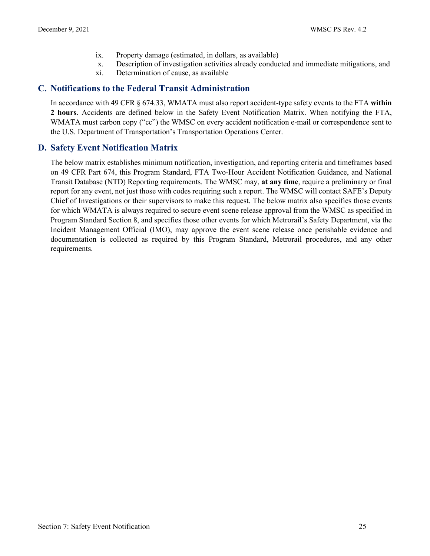- ix. Property damage (estimated, in dollars, as available)
- x. Description of investigation activities already conducted and immediate mitigations, and
- xi. Determination of cause, as available

# <span id="page-25-0"></span>**C. Notifications to the Federal Transit Administration**

In accordance with 49 CFR § 674.33, WMATA must also report accident-type safety events to the FTA **within 2 hours**. Accidents are defined below in the Safety Event Notification Matrix. When notifying the FTA, WMATA must carbon copy ("cc") the WMSC on every accident notification e-mail or correspondence sent to the U.S. Department of Transportation's Transportation Operations Center.

# <span id="page-25-1"></span>**D. Safety Event Notification Matrix**

The below matrix establishes minimum notification, investigation, and reporting criteria and timeframes based on 49 CFR Part 674, this Program Standard, FTA Two-Hour Accident Notification Guidance, and National Transit Database (NTD) Reporting requirements. The WMSC may, **at any time**, require a preliminary or final report for any event, not just those with codes requiring such a report. The WMSC will contact SAFE's Deputy Chief of Investigations or their supervisors to make this request. The below matrix also specifies those events for which WMATA is always required to secure event scene release approval from the WMSC as specified in Program Standard Section 8, and specifies those other events for which Metrorail's Safety Department, via the Incident Management Official (IMO), may approve the event scene release once perishable evidence and documentation is collected as required by this Program Standard, Metrorail procedures, and any other requirements.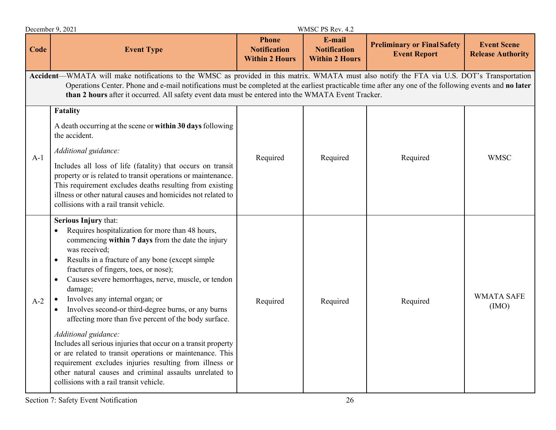|             | December 9, 2021                                                                                                                                                                                                                                                                                                                                                                                                                                                                                                                                                                                                                                                                                                                                                                                                   |                                                              | WMSC PS Rev. 4.2                                       |                                                           |                                                |  |  |
|-------------|--------------------------------------------------------------------------------------------------------------------------------------------------------------------------------------------------------------------------------------------------------------------------------------------------------------------------------------------------------------------------------------------------------------------------------------------------------------------------------------------------------------------------------------------------------------------------------------------------------------------------------------------------------------------------------------------------------------------------------------------------------------------------------------------------------------------|--------------------------------------------------------------|--------------------------------------------------------|-----------------------------------------------------------|------------------------------------------------|--|--|
| <b>Code</b> | <b>Event Type</b>                                                                                                                                                                                                                                                                                                                                                                                                                                                                                                                                                                                                                                                                                                                                                                                                  | <b>Phone</b><br><b>Notification</b><br><b>Within 2 Hours</b> | E-mail<br><b>Notification</b><br><b>Within 2 Hours</b> | <b>Preliminary or Final Safety</b><br><b>Event Report</b> | <b>Event Scene</b><br><b>Release Authority</b> |  |  |
|             | Accident-WMATA will make notifications to the WMSC as provided in this matrix. WMATA must also notify the FTA via U.S. DOT's Transportation<br>Operations Center. Phone and e-mail notifications must be completed at the earliest practicable time after any one of the following events and no later<br>than 2 hours after it occurred. All safety event data must be entered into the WMATA Event Tracker.                                                                                                                                                                                                                                                                                                                                                                                                      |                                                              |                                                        |                                                           |                                                |  |  |
| $A-1$       | Fatality<br>A death occurring at the scene or within 30 days following<br>the accident.<br>Additional guidance:<br>Includes all loss of life (fatality) that occurs on transit<br>property or is related to transit operations or maintenance.<br>This requirement excludes deaths resulting from existing<br>illness or other natural causes and homicides not related to<br>collisions with a rail transit vehicle.                                                                                                                                                                                                                                                                                                                                                                                              | Required                                                     | Required                                               | Required                                                  | <b>WMSC</b>                                    |  |  |
| $A-2$       | Serious Injury that:<br>Requires hospitalization for more than 48 hours,<br>$\bullet$<br>commencing within 7 days from the date the injury<br>was received:<br>Results in a fracture of any bone (except simple<br>$\bullet$<br>fractures of fingers, toes, or nose);<br>Causes severe hemorrhages, nerve, muscle, or tendon<br>damage;<br>Involves any internal organ; or<br>Involves second-or third-degree burns, or any burns<br>affecting more than five percent of the body surface.<br>Additional guidance:<br>Includes all serious injuries that occur on a transit property<br>or are related to transit operations or maintenance. This<br>requirement excludes injuries resulting from illness or<br>other natural causes and criminal assaults unrelated to<br>collisions with a rail transit vehicle. | Required                                                     | Required                                               | Required                                                  | <b>WMATA SAFE</b><br>(MO)                      |  |  |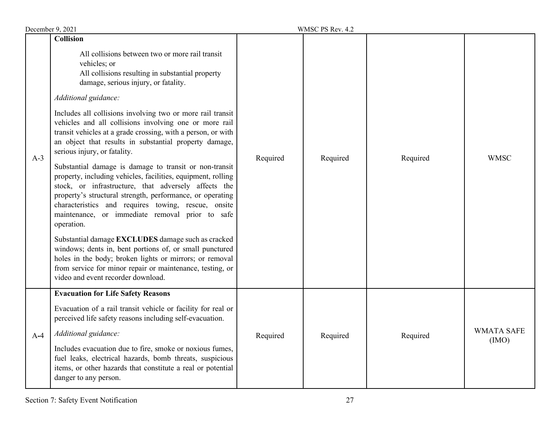| WMSC PS Rev. 4.2<br>December 9, 2021 |                                                                                                                                                                                                                                                                                                                                                                     |          |          |          |                           |
|--------------------------------------|---------------------------------------------------------------------------------------------------------------------------------------------------------------------------------------------------------------------------------------------------------------------------------------------------------------------------------------------------------------------|----------|----------|----------|---------------------------|
|                                      | <b>Collision</b><br>All collisions between two or more rail transit<br>vehicles; or<br>All collisions resulting in substantial property<br>damage, serious injury, or fatality.                                                                                                                                                                                     |          |          |          |                           |
|                                      | Additional guidance:                                                                                                                                                                                                                                                                                                                                                | Required |          |          |                           |
| $A-3$                                | Includes all collisions involving two or more rail transit<br>vehicles and all collisions involving one or more rail<br>transit vehicles at a grade crossing, with a person, or with<br>an object that results in substantial property damage,<br>serious injury, or fatality.                                                                                      |          | Required | Required | <b>WMSC</b>               |
|                                      | Substantial damage is damage to transit or non-transit<br>property, including vehicles, facilities, equipment, rolling<br>stock, or infrastructure, that adversely affects the<br>property's structural strength, performance, or operating<br>characteristics and requires towing, rescue, onsite<br>maintenance, or immediate removal prior to safe<br>operation. |          |          |          |                           |
|                                      | Substantial damage EXCLUDES damage such as cracked<br>windows; dents in, bent portions of, or small punctured<br>holes in the body; broken lights or mirrors; or removal<br>from service for minor repair or maintenance, testing, or<br>video and event recorder download.                                                                                         |          |          |          |                           |
|                                      | <b>Evacuation for Life Safety Reasons</b>                                                                                                                                                                                                                                                                                                                           |          |          |          |                           |
|                                      | Evacuation of a rail transit vehicle or facility for real or<br>perceived life safety reasons including self-evacuation.                                                                                                                                                                                                                                            |          |          | Required |                           |
| $A-4$                                | Additional guidance:                                                                                                                                                                                                                                                                                                                                                | Required | Required |          | <b>WMATA SAFE</b><br>(MO) |
|                                      | Includes evacuation due to fire, smoke or noxious fumes,<br>fuel leaks, electrical hazards, bomb threats, suspicious<br>items, or other hazards that constitute a real or potential<br>danger to any person.                                                                                                                                                        |          |          |          |                           |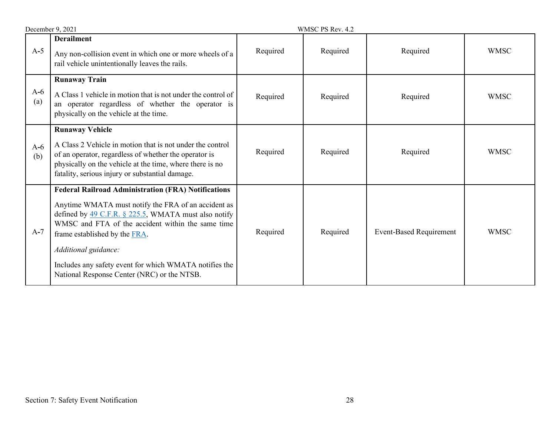|              | December 9, 2021                                                                                                                                                                                                                                                                                                                                                                                 |          | WMSC PS Rev. 4.2 |                                |             |  |
|--------------|--------------------------------------------------------------------------------------------------------------------------------------------------------------------------------------------------------------------------------------------------------------------------------------------------------------------------------------------------------------------------------------------------|----------|------------------|--------------------------------|-------------|--|
| $A-5$        | <b>Derailment</b><br>Any non-collision event in which one or more wheels of a<br>rail vehicle unintentionally leaves the rails.                                                                                                                                                                                                                                                                  | Required | Required         | Required                       | <b>WMSC</b> |  |
| $A-6$<br>(a) | <b>Runaway Train</b><br>A Class 1 vehicle in motion that is not under the control of<br>an operator regardless of whether the operator is<br>physically on the vehicle at the time.                                                                                                                                                                                                              | Required | Required         | Required                       | <b>WMSC</b> |  |
| $A-6$<br>(b) | <b>Runaway Vehicle</b><br>A Class 2 Vehicle in motion that is not under the control<br>of an operator, regardless of whether the operator is<br>physically on the vehicle at the time, where there is no<br>fatality, serious injury or substantial damage.                                                                                                                                      | Required | Required         | Required                       | <b>WMSC</b> |  |
| $A-7$        | <b>Federal Railroad Administration (FRA) Notifications</b><br>Anytime WMATA must notify the FRA of an accident as<br>defined by 49 C.F.R. § 225.5, WMATA must also notify<br>WMSC and FTA of the accident within the same time<br>frame established by the FRA.<br>Additional guidance:<br>Includes any safety event for which WMATA notifies the<br>National Response Center (NRC) or the NTSB. | Required | Required         | <b>Event-Based Requirement</b> | <b>WMSC</b> |  |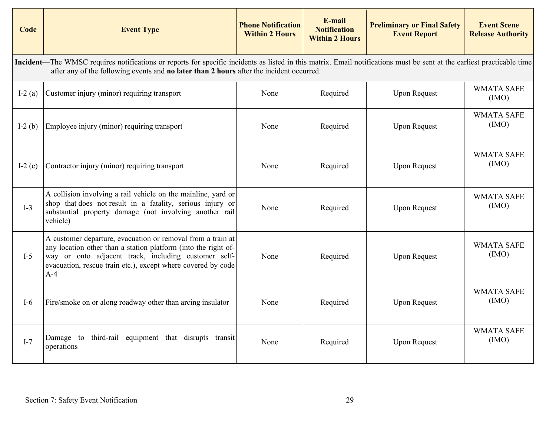| Code      | <b>Event Type</b>                                                                                                                                                                                                                                                  | <b>Phone Notification</b><br><b>Within 2 Hours</b> | E-mail<br><b>Notification</b><br><b>Within 2 Hours</b> | <b>Preliminary or Final Safety</b><br><b>Event Report</b> | <b>Event Scene</b><br><b>Release Authority</b> |
|-----------|--------------------------------------------------------------------------------------------------------------------------------------------------------------------------------------------------------------------------------------------------------------------|----------------------------------------------------|--------------------------------------------------------|-----------------------------------------------------------|------------------------------------------------|
|           | Incident—The WMSC requires notifications or reports for specific incidents as listed in this matrix. Email notifications must be sent at the earliest practicable time<br>after any of the following events and no later than 2 hours after the incident occurred. |                                                    |                                                        |                                                           |                                                |
| I-2 $(a)$ | Customer injury (minor) requiring transport                                                                                                                                                                                                                        | None                                               | Required                                               | <b>Upon Request</b>                                       | <b>WMATA SAFE</b><br>(IMO)                     |
| I-2 $(b)$ | Employee injury (minor) requiring transport                                                                                                                                                                                                                        | None                                               | Required                                               | <b>Upon Request</b>                                       | <b>WMATA SAFE</b><br>(IMO)                     |
| I-2 $(c)$ | Contractor injury (minor) requiring transport                                                                                                                                                                                                                      | None                                               | Required                                               | <b>Upon Request</b>                                       | <b>WMATA SAFE</b><br>(IMO)                     |
| $I-3$     | A collision involving a rail vehicle on the mainline, yard or<br>shop that does not result in a fatality, serious injury or<br>substantial property damage (not involving another rail<br>vehicle)                                                                 | None                                               | Required                                               | <b>Upon Request</b>                                       | <b>WMATA SAFE</b><br>(IMO)                     |
| $I-5$     | A customer departure, evacuation or removal from a train at<br>any location other than a station platform (into the right of-<br>way or onto adjacent track, including customer self-<br>evacuation, rescue train etc.), except where covered by code<br>$A-4$     | None                                               | Required                                               | <b>Upon Request</b>                                       | <b>WMATA SAFE</b><br>(IMO)                     |
| $I-6$     | Fire/smoke on or along roadway other than arcing insulator                                                                                                                                                                                                         | None                                               | Required                                               | <b>Upon Request</b>                                       | <b>WMATA SAFE</b><br>(IMO)                     |
| $I-7$     | third-rail equipment that disrupts transit<br>Damage to<br>operations                                                                                                                                                                                              | None                                               | Required                                               | <b>Upon Request</b>                                       | <b>WMATA SAFE</b><br>(IMO)                     |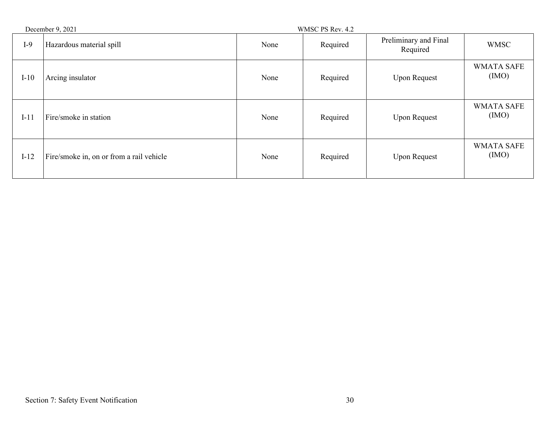| December 9, 2021 |                                          | WMSC PS Rev. 4.2 |          |                                   |                           |
|------------------|------------------------------------------|------------------|----------|-----------------------------------|---------------------------|
| $I-9$            | Hazardous material spill                 | None             | Required | Preliminary and Final<br>Required | <b>WMSC</b>               |
| $I-10$           | Arcing insulator                         | None             | Required | <b>Upon Request</b>               | <b>WMATA SAFE</b><br>(MO) |
| $I-11$           | Fire/smoke in station                    | None             | Required | <b>Upon Request</b>               | <b>WMATA SAFE</b><br>(MO) |
| $I-12$           | Fire/smoke in, on or from a rail vehicle | None             | Required | <b>Upon Request</b>               | <b>WMATA SAFE</b><br>(MO) |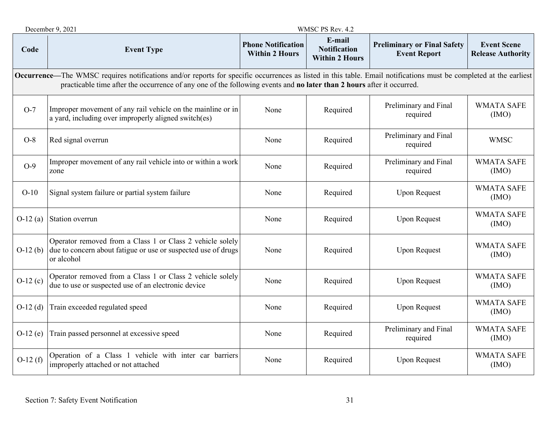|            | December 9, 2021                                                                                                                                                                                                                                                                                  |                                                    | WMSC PS Rev. 4.2                                       |                                                           |                                                |  |  |  |
|------------|---------------------------------------------------------------------------------------------------------------------------------------------------------------------------------------------------------------------------------------------------------------------------------------------------|----------------------------------------------------|--------------------------------------------------------|-----------------------------------------------------------|------------------------------------------------|--|--|--|
| Code       | <b>Event Type</b>                                                                                                                                                                                                                                                                                 | <b>Phone Notification</b><br><b>Within 2 Hours</b> | E-mail<br><b>Notification</b><br><b>Within 2 Hours</b> | <b>Preliminary or Final Safety</b><br><b>Event Report</b> | <b>Event Scene</b><br><b>Release Authority</b> |  |  |  |
|            | <b>Occurrence—The WMSC</b> requires notifications and/or reports for specific occurrences as listed in this table. Email notifications must be completed at the earliest<br>practicable time after the occurrence of any one of the following events and no later than 2 hours after it occurred. |                                                    |                                                        |                                                           |                                                |  |  |  |
| $O-7$      | Improper movement of any rail vehicle on the mainline or in<br>a yard, including over improperly aligned switch(es)                                                                                                                                                                               | None                                               | Required                                               | Preliminary and Final<br>required                         | <b>WMATA SAFE</b><br>(IMO)                     |  |  |  |
| $O-8$      | Red signal overrun                                                                                                                                                                                                                                                                                | None                                               | Required                                               | Preliminary and Final<br>required                         | <b>WMSC</b>                                    |  |  |  |
| $O-9$      | Improper movement of any rail vehicle into or within a work<br>zone                                                                                                                                                                                                                               | None                                               | Required                                               | Preliminary and Final<br>required                         | <b>WMATA SAFE</b><br>(MO)                      |  |  |  |
| $O-10$     | Signal system failure or partial system failure                                                                                                                                                                                                                                                   | None                                               | Required                                               | <b>Upon Request</b>                                       | <b>WMATA SAFE</b><br>(MO)                      |  |  |  |
| $O-12(a)$  | Station overrun                                                                                                                                                                                                                                                                                   | None                                               | Required                                               | <b>Upon Request</b>                                       | <b>WMATA SAFE</b><br>(IMO)                     |  |  |  |
| $O-12(b)$  | Operator removed from a Class 1 or Class 2 vehicle solely<br>due to concern about fatigue or use or suspected use of drugs<br>or alcohol                                                                                                                                                          | None                                               | Required                                               | <b>Upon Request</b>                                       | <b>WMATA SAFE</b><br>(IMO)                     |  |  |  |
| $O-12(c)$  | Operator removed from a Class 1 or Class 2 vehicle solely<br>due to use or suspected use of an electronic device                                                                                                                                                                                  | None                                               | Required                                               | <b>Upon Request</b>                                       | <b>WMATA SAFE</b><br>(MO)                      |  |  |  |
| $O-12$ (d) | Train exceeded regulated speed                                                                                                                                                                                                                                                                    | None                                               | Required                                               | <b>Upon Request</b>                                       | <b>WMATA SAFE</b><br>(MO)                      |  |  |  |
| $O-12(e)$  | Train passed personnel at excessive speed                                                                                                                                                                                                                                                         | None                                               | Required                                               | Preliminary and Final<br>required                         | <b>WMATA SAFE</b><br>(MO)                      |  |  |  |
| $O-12(f)$  | Operation of a Class 1 vehicle with inter car barriers<br>improperly attached or not attached                                                                                                                                                                                                     | None                                               | Required                                               | <b>Upon Request</b>                                       | <b>WMATA SAFE</b><br>(MO)                      |  |  |  |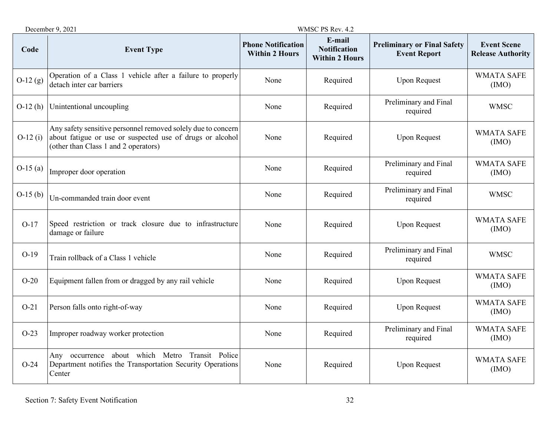|           | December 9, 2021                                                                                                                                                  |                                                    | WMSC PS Rev. 4.2                                       |                                                           |                                                |
|-----------|-------------------------------------------------------------------------------------------------------------------------------------------------------------------|----------------------------------------------------|--------------------------------------------------------|-----------------------------------------------------------|------------------------------------------------|
| Code      | <b>Event Type</b>                                                                                                                                                 | <b>Phone Notification</b><br><b>Within 2 Hours</b> | E-mail<br><b>Notification</b><br><b>Within 2 Hours</b> | <b>Preliminary or Final Safety</b><br><b>Event Report</b> | <b>Event Scene</b><br><b>Release Authority</b> |
| $O-12(g)$ | Operation of a Class 1 vehicle after a failure to properly<br>detach inter car barriers                                                                           | None                                               | Required                                               | <b>Upon Request</b>                                       | <b>WMATA SAFE</b><br>(IMO)                     |
| $O-12(h)$ | Unintentional uncoupling                                                                                                                                          | None                                               | Required                                               | Preliminary and Final<br>required                         | <b>WMSC</b>                                    |
| $O-12(i)$ | Any safety sensitive personnel removed solely due to concern<br>about fatigue or use or suspected use of drugs or alcohol<br>(other than Class 1 and 2 operators) | None                                               | Required                                               | <b>Upon Request</b>                                       | <b>WMATA SAFE</b><br>(IMO)                     |
| $O-15(a)$ | Improper door operation                                                                                                                                           | None                                               | Required                                               | Preliminary and Final<br>required                         | <b>WMATA SAFE</b><br>(IMO)                     |
| $O-15(b)$ | Un-commanded train door event                                                                                                                                     | None                                               | Required                                               | Preliminary and Final<br>required                         | <b>WMSC</b>                                    |
| $O-17$    | Speed restriction or track closure due to infrastructure<br>damage or failure                                                                                     | None                                               | Required                                               | <b>Upon Request</b>                                       | <b>WMATA SAFE</b><br>(IMO)                     |
| $O-19$    | Train rollback of a Class 1 vehicle                                                                                                                               | None                                               | Required                                               | Preliminary and Final<br>required                         | <b>WMSC</b>                                    |
| $O-20$    | Equipment fallen from or dragged by any rail vehicle                                                                                                              | None                                               | Required                                               | <b>Upon Request</b>                                       | <b>WMATA SAFE</b><br>(MO)                      |
| $O-21$    | Person falls onto right-of-way                                                                                                                                    | None                                               | Required                                               | <b>Upon Request</b>                                       | <b>WMATA SAFE</b><br>(IMO)                     |
| $O-23$    | Improper roadway worker protection                                                                                                                                | None                                               | Required                                               | Preliminary and Final<br>required                         | <b>WMATA SAFE</b><br>(MO)                      |
| $O-24$    | Any occurrence about which Metro Transit Police<br>Department notifies the Transportation Security Operations<br>Center                                           | None                                               | Required                                               | <b>Upon Request</b>                                       | <b>WMATA SAFE</b><br>(IMO)                     |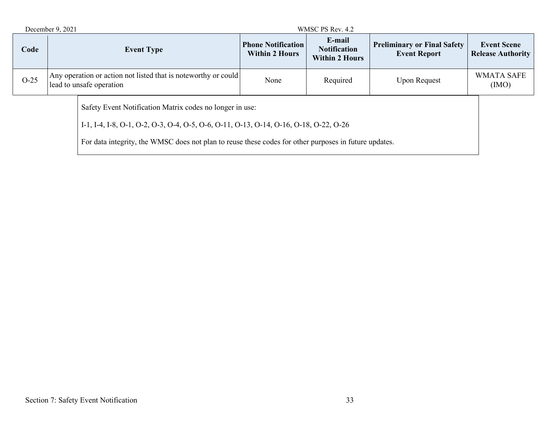|                                                                                                                                                                                                                                                            | December 9, 2021<br>WMSC PS Rev. 4.2                                                       |                   |                                                    |                                                        |                                                           |                                                |
|------------------------------------------------------------------------------------------------------------------------------------------------------------------------------------------------------------------------------------------------------------|--------------------------------------------------------------------------------------------|-------------------|----------------------------------------------------|--------------------------------------------------------|-----------------------------------------------------------|------------------------------------------------|
| Code                                                                                                                                                                                                                                                       |                                                                                            | <b>Event Type</b> | <b>Phone Notification</b><br><b>Within 2 Hours</b> | E-mail<br><b>Notification</b><br><b>Within 2 Hours</b> | <b>Preliminary or Final Safety</b><br><b>Event Report</b> | <b>Event Scene</b><br><b>Release Authority</b> |
| $O-25$                                                                                                                                                                                                                                                     | Any operation or action not listed that is noteworthy or could<br>lead to unsafe operation |                   | None                                               | Required                                               | <b>Upon Request</b>                                       | <b>WMATA SAFE</b><br>(IMO)                     |
| Safety Event Notification Matrix codes no longer in use:<br>I-1, I-4, I-8, O-1, O-2, O-3, O-4, O-5, O-6, O-11, O-13, O-14, O-16, O-18, O-22, O-26<br>For data integrity, the WMSC does not plan to reuse these codes for other purposes in future updates. |                                                                                            |                   |                                                    |                                                        |                                                           |                                                |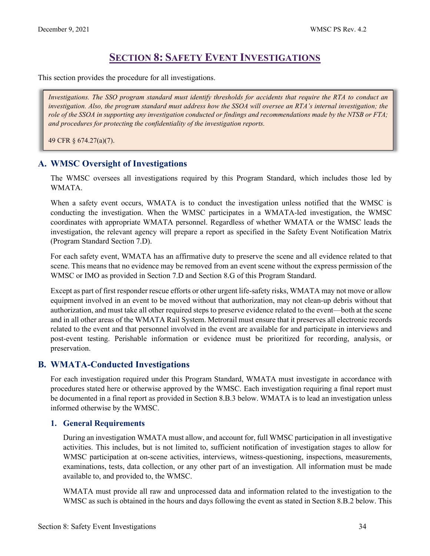# **SECTION 8: SAFETY EVENT INVESTIGATIONS**

<span id="page-34-0"></span>This section provides the procedure for all investigations.

*Investigations. The SSO program standard must identify thresholds for accidents that require the RTA to conduct an investigation. Also, the program standard must address how the SSOA will oversee an RTA's internal investigation; the role of the SSOA in supporting any investigation conducted or findings and recommendations made by the NTSB or FTA; and procedures for protecting the confidentiality of the investigation reports.*

49 CFR § 674.27(a)(7).

# <span id="page-34-1"></span>**A. WMSC Oversight of Investigations**

The WMSC oversees all investigations required by this Program Standard, which includes those led by WMATA.

When a safety event occurs, WMATA is to conduct the investigation unless notified that the WMSC is conducting the investigation. When the WMSC participates in a WMATA-led investigation, the WMSC coordinates with appropriate WMATA personnel. Regardless of whether WMATA or the WMSC leads the investigation, the relevant agency will prepare a report as specified in the Safety Event Notification Matrix (Program Standard Section 7.D).

For each safety event, WMATA has an affirmative duty to preserve the scene and all evidence related to that scene. This means that no evidence may be removed from an event scene without the express permission of the WMSC or IMO as provided in Section 7.D and Section 8.G of this Program Standard.

Except as part of first responder rescue efforts or other urgent life-safety risks, WMATA may not move or allow equipment involved in an event to be moved without that authorization, may not clean-up debris without that authorization, and must take all other required steps to preserve evidence related to the event—both at the scene and in all other areas of the WMATA Rail System. Metrorail must ensure that it preserves all electronic records related to the event and that personnel involved in the event are available for and participate in interviews and post-event testing. Perishable information or evidence must be prioritized for recording, analysis, or preservation.

# <span id="page-34-2"></span>**B. WMATA-Conducted Investigations**

For each investigation required under this Program Standard, WMATA must investigate in accordance with procedures stated here or otherwise approved by the WMSC. Each investigation requiring a final report must be documented in a final report as provided in Section 8.B.3 below. WMATA is to lead an investigation unless informed otherwise by the WMSC.

#### **1. General Requirements**

During an investigation WMATA must allow, and account for, full WMSC participation in all investigative activities. This includes, but is not limited to, sufficient notification of investigation stages to allow for WMSC participation at on-scene activities, interviews, witness-questioning, inspections, measurements, examinations, tests, data collection, or any other part of an investigation. All information must be made available to, and provided to, the WMSC.

WMATA must provide all raw and unprocessed data and information related to the investigation to the WMSC as such is obtained in the hours and days following the event as stated in Section 8.B.2 below. This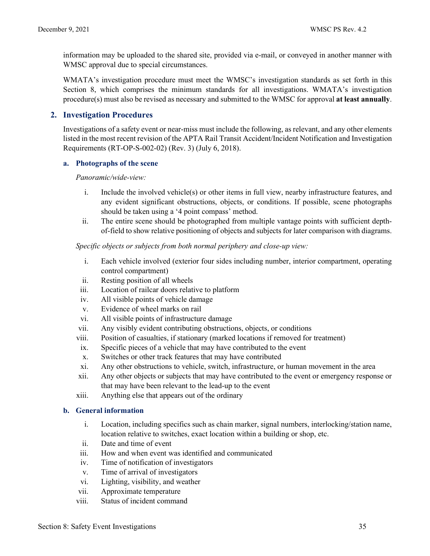information may be uploaded to the shared site, provided via e-mail, or conveyed in another manner with WMSC approval due to special circumstances.

WMATA's investigation procedure must meet the WMSC's investigation standards as set forth in this Section 8, which comprises the minimum standards for all investigations. WMATA's investigation procedure(s) must also be revised as necessary and submitted to the WMSC for approval **at least annually**.

#### **2. Investigation Procedures**

Investigations of a safety event or near-miss must include the following, as relevant, and any other elements listed in the most recent revision of the APTA Rail Transit Accident/Incident Notification and Investigation Requirements (RT-OP-S-002-02) (Rev. 3) (July 6, 2018).

#### **a. Photographs of the scene**

*Panoramic/wide-view:*

- i. Include the involved vehicle(s) or other items in full view, nearby infrastructure features, and any evident significant obstructions, objects, or conditions. If possible, scene photographs should be taken using a '4 point compass' method.
- ii. The entire scene should be photographed from multiple vantage points with sufficient depthof-field to show relative positioning of objects and subjects for later comparison with diagrams.

*Specific objects or subjects from both normal periphery and close-up view:*

- i. Each vehicle involved (exterior four sides including number, interior compartment, operating control compartment)
- ii. Resting position of all wheels
- iii. Location of railcar doors relative to platform
- iv. All visible points of vehicle damage
- v. Evidence of wheel marks on rail
- vi. All visible points of infrastructure damage
- vii. Any visibly evident contributing obstructions, objects, or conditions
- viii. Position of casualties, if stationary (marked locations if removed for treatment)
- ix. Specific pieces of a vehicle that may have contributed to the event
- x. Switches or other track features that may have contributed
- xi. Any other obstructions to vehicle, switch, infrastructure, or human movement in the area
- xii. Any other objects or subjects that may have contributed to the event or emergency response or that may have been relevant to the lead-up to the event
- xiii. Anything else that appears out of the ordinary

#### **b. General information**

- i. Location, including specifics such as chain marker, signal numbers, interlocking/station name, location relative to switches, exact location within a building or shop, etc.
- ii. Date and time of event
- iii. How and when event was identified and communicated
- iv. Time of notification of investigators
- v. Time of arrival of investigators
- vi. Lighting, visibility, and weather
- vii. Approximate temperature
- viii. Status of incident command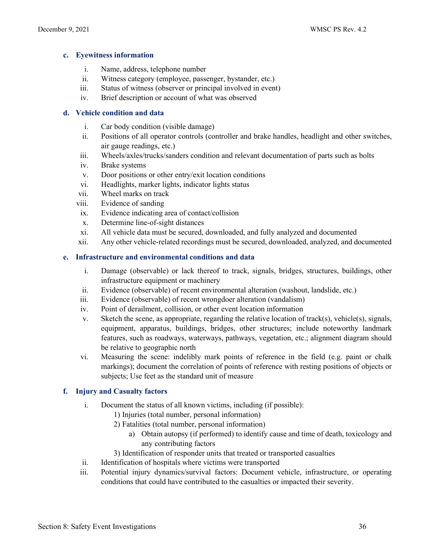#### **c. Eyewitness information**

- i. Name, address, telephone number
- ii. Witness category (employee, passenger, bystander, etc.)
- iii. Status of witness (observer or principal involved in event)
- iv. Brief description or account of what was observed

#### **d. Vehicle condition and data**

- i. Car body condition (visible damage)
- ii. Positions of all operator controls (controller and brake handles, headlight and other switches, air gauge readings, etc.)
- iii. Wheels/axles/trucks/sanders condition and relevant documentation of parts such as bolts
- iv. Brake systems
- v. Door positions or other entry/exit location conditions
- vi. Headlights, marker lights, indicator lights status
- vii. Wheel marks on track
- viii. Evidence of sanding
- ix. Evidence indicating area of contact/collision
- x. Determine line-of-sight distances
- xi. All vehicle data must be secured, downloaded, and fully analyzed and documented
- xii. Any other vehicle-related recordings must be secured, downloaded, analyzed, and documented

#### **e. Infrastructure and environmental conditions and data**

- i. Damage (observable) or lack thereof to track, signals, bridges, structures, buildings, other infrastructure equipment or machinery
- ii. Evidence (observable) of recent environmental alteration (washout, landslide, etc.)
- iii. Evidence (observable) of recent wrongdoer alteration (vandalism)
- iv. Point of derailment, collision, or other event location information
- v. Sketch the scene, as appropriate, regarding the relative location of track(s), vehicle(s), signals, equipment, apparatus, buildings, bridges, other structures; include noteworthy landmark features, such as roadways, waterways, pathways, vegetation, etc.; alignment diagram should be relative to geographic north
- vi. Measuring the scene: indelibly mark points of reference in the field (e.g. paint or chalk markings); document the correlation of points of reference with resting positions of objects or subjects; Use feet as the standard unit of measure

#### **f. Injury and Casualty factors**

- i. Document the status of all known victims, including (if possible):
	- 1) Injuries (total number, personal information)
	- 2) Fatalities (total number, personal information)
		- a) Obtain autopsy (if performed) to identify cause and time of death, toxicology and any contributing factors
	- 3) Identification of responder units that treated or transported casualties
- ii. Identification of hospitals where victims were transported
- iii. Potential injury dynamics/survival factors: Document vehicle, infrastructure, or operating conditions that could have contributed to the casualties or impacted their severity.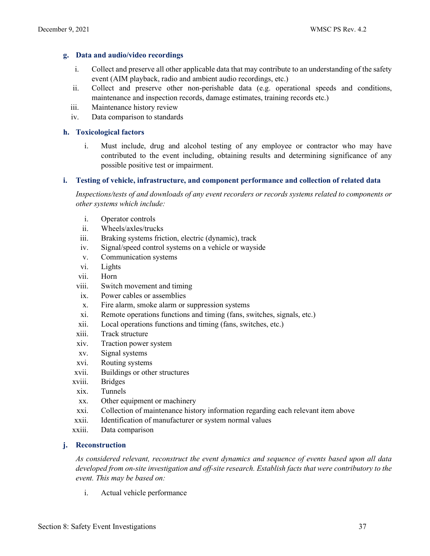#### **g. Data and audio/video recordings**

- i. Collect and preserve all other applicable data that may contribute to an understanding of the safety event (AIM playback, radio and ambient audio recordings, etc.)
- ii. Collect and preserve other non-perishable data (e.g. operational speeds and conditions, maintenance and inspection records, damage estimates, training records etc.)
- iii. Maintenance history review
- iv. Data comparison to standards

#### **h. Toxicological factors**

i. Must include, drug and alcohol testing of any employee or contractor who may have contributed to the event including, obtaining results and determining significance of any possible positive test or impairment.

#### **i. Testing of vehicle, infrastructure, and component performance and collection of related data**

*Inspections/tests of and downloads of any event recorders or records systems related to components or other systems which include:* 

- i. Operator controls
- ii. Wheels/axles/trucks
- iii. Braking systems friction, electric (dynamic), track
- iv. Signal/speed control systems on a vehicle or wayside
- v. Communication systems
- vi. Lights
- vii. Horn
- viii. Switch movement and timing
- ix. Power cables or assemblies
- x. Fire alarm, smoke alarm or suppression systems
- xi. Remote operations functions and timing (fans, switches, signals, etc.)
- xii. Local operations functions and timing (fans, switches, etc.)
- xiii. Track structure
- xiv. Traction power system
- xv. Signal systems
- xvi. Routing systems
- xvii. Buildings or other structures
- xviii. Bridges
- xix. Tunnels
- xx. Other equipment or machinery
- xxi. Collection of maintenance history information regarding each relevant item above
- xxii. Identification of manufacturer or system normal values
- xxiii. Data comparison

#### **j. Reconstruction**

*As considered relevant, reconstruct the event dynamics and sequence of events based upon all data developed from on-site investigation and off-site research. Establish facts that were contributory to the event. This may be based on:* 

i. Actual vehicle performance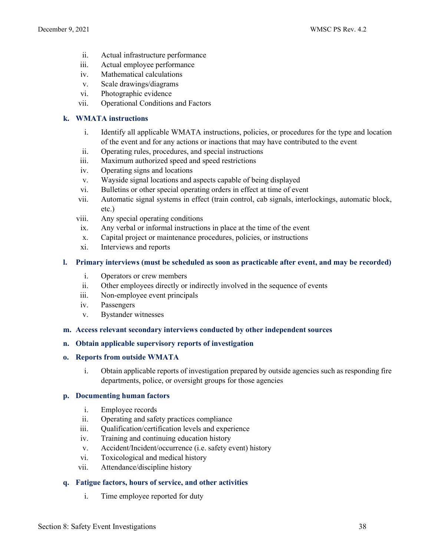- ii. Actual infrastructure performance
- iii. Actual employee performance
- iv. Mathematical calculations
- v. Scale drawings/diagrams
- vi. Photographic evidence
- vii. Operational Conditions and Factors

#### **k. WMATA instructions**

- i. Identify all applicable WMATA instructions, policies, or procedures for the type and location of the event and for any actions or inactions that may have contributed to the event
- ii. Operating rules, procedures, and special instructions
- iii. Maximum authorized speed and speed restrictions
- iv. Operating signs and locations
- v. Wayside signal locations and aspects capable of being displayed
- vi. Bulletins or other special operating orders in effect at time of event
- vii. Automatic signal systems in effect (train control, cab signals, interlockings, automatic block, etc.)
- viii. Any special operating conditions
- ix. Any verbal or informal instructions in place at the time of the event
- x. Capital project or maintenance procedures, policies, or instructions
- xi. Interviews and reports

#### **l. Primary interviews (must be scheduled as soon as practicable after event, and may be recorded)**

- i. Operators or crew members
- ii. Other employees directly or indirectly involved in the sequence of events
- iii. Non-employee event principals
- iv. Passengers
- v. Bystander witnesses

#### **m. Access relevant secondary interviews conducted by other independent sources**

#### **n. Obtain applicable supervisory reports of investigation**

#### **o. Reports from outside WMATA**

i. Obtain applicable reports of investigation prepared by outside agencies such as responding fire departments, police, or oversight groups for those agencies

#### **p. Documenting human factors**

- i. Employee records
- ii. Operating and safety practices compliance
- iii. Qualification/certification levels and experience
- iv. Training and continuing education history
- v. Accident/Incident/occurrence (i.e. safety event) history
- vi. Toxicological and medical history
- vii. Attendance/discipline history

#### **q. Fatigue factors, hours of service, and other activities**

i. Time employee reported for duty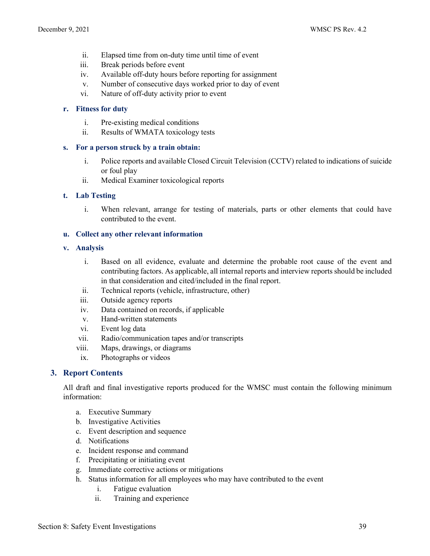- ii. Elapsed time from on-duty time until time of event
- iii. Break periods before event
- iv. Available off-duty hours before reporting for assignment
- v. Number of consecutive days worked prior to day of event
- vi. Nature of off-duty activity prior to event

#### **r. Fitness for duty**

- i. Pre-existing medical conditions
- ii. Results of WMATA toxicology tests

#### **s. For a person struck by a train obtain:**

- i. Police reports and available Closed Circuit Television (CCTV) related to indications of suicide or foul play
- ii. Medical Examiner toxicological reports

#### **t. Lab Testing**

i. When relevant, arrange for testing of materials, parts or other elements that could have contributed to the event.

#### **u. Collect any other relevant information**

#### **v. Analysis**

- i. Based on all evidence, evaluate and determine the probable root cause of the event and contributing factors. As applicable, all internal reports and interview reports should be included in that consideration and cited/included in the final report.
- ii. Technical reports (vehicle, infrastructure, other)
- iii. Outside agency reports
- iv. Data contained on records, if applicable
- v. Hand-written statements
- vi. Event log data
- vii. Radio/communication tapes and/or transcripts
- viii. Maps, drawings, or diagrams
- ix. Photographs or videos

#### **3. Report Contents**

All draft and final investigative reports produced for the WMSC must contain the following minimum information:

- a. Executive Summary
- b. Investigative Activities
- c. Event description and sequence
- d. Notifications
- e. Incident response and command
- f. Precipitating or initiating event
- g. Immediate corrective actions or mitigations
- h. Status information for all employees who may have contributed to the event
	- i. Fatigue evaluation
	- ii. Training and experience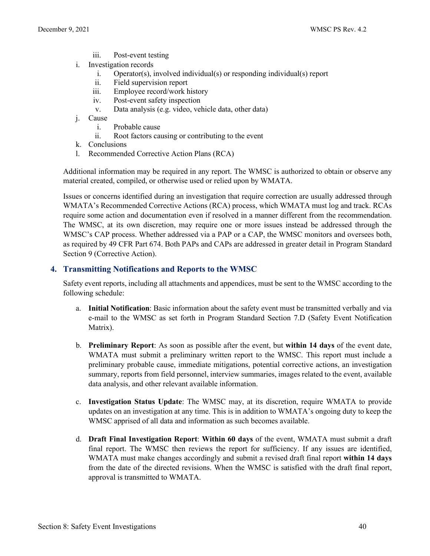- iii. Post-event testing
- i. Investigation records
	- i. Operator(s), involved individual(s) or responding individual(s) report
	- ii. Field supervision report
	- iii. Employee record/work history
	- iv. Post-event safety inspection
	- v. Data analysis (e.g. video, vehicle data, other data)
- j. Cause
	- i. Probable cause
	- ii. Root factors causing or contributing to the event
- k. Conclusions
- l. Recommended Corrective Action Plans (RCA)

Additional information may be required in any report. The WMSC is authorized to obtain or observe any material created, compiled, or otherwise used or relied upon by WMATA.

Issues or concerns identified during an investigation that require correction are usually addressed through WMATA's Recommended Corrective Actions (RCA) process, which WMATA must log and track. RCAs require some action and documentation even if resolved in a manner different from the recommendation. The WMSC, at its own discretion, may require one or more issues instead be addressed through the WMSC's CAP process. Whether addressed via a PAP or a CAP, the WMSC monitors and oversees both, as required by 49 CFR Part 674. Both PAPs and CAPs are addressed in greater detail in Program Standard Section 9 (Corrective Action).

#### **4. Transmitting Notifications and Reports to the WMSC**

Safety event reports, including all attachments and appendices, must be sent to the WMSC according to the following schedule:

- a. **Initial Notification**: Basic information about the safety event must be transmitted verbally and via e-mail to the WMSC as set forth in Program Standard Section 7.D (Safety Event Notification Matrix).
- b. **Preliminary Report**: As soon as possible after the event, but **within 14 days** of the event date, WMATA must submit a preliminary written report to the WMSC. This report must include a preliminary probable cause, immediate mitigations, potential corrective actions, an investigation summary, reports from field personnel, interview summaries, images related to the event, available data analysis, and other relevant available information.
- c. **Investigation Status Update**: The WMSC may, at its discretion, require WMATA to provide updates on an investigation at any time. This is in addition to WMATA's ongoing duty to keep the WMSC apprised of all data and information as such becomes available.
- d. **Draft Final Investigation Report**: **Within 60 days** of the event, WMATA must submit a draft final report. The WMSC then reviews the report for sufficiency. If any issues are identified, WMATA must make changes accordingly and submit a revised draft final report **within 14 days** from the date of the directed revisions. When the WMSC is satisfied with the draft final report, approval is transmitted to WMATA.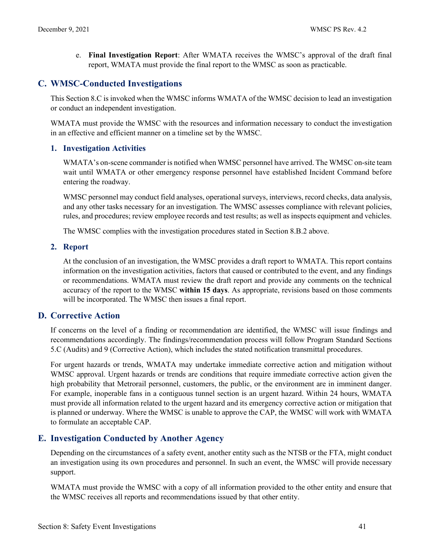e. **Final Investigation Report**: After WMATA receives the WMSC's approval of the draft final report, WMATA must provide the final report to the WMSC as soon as practicable.

# <span id="page-41-0"></span>**C. WMSC-Conducted Investigations**

This Section 8.C is invoked when the WMSC informs WMATA of the WMSC decision to lead an investigation or conduct an independent investigation.

WMATA must provide the WMSC with the resources and information necessary to conduct the investigation in an effective and efficient manner on a timeline set by the WMSC.

#### **1. Investigation Activities**

WMATA's on-scene commander is notified when WMSC personnel have arrived. The WMSC on-site team wait until WMATA or other emergency response personnel have established Incident Command before entering the roadway.

WMSC personnel may conduct field analyses, operational surveys, interviews, record checks, data analysis, and any other tasks necessary for an investigation. The WMSC assesses compliance with relevant policies, rules, and procedures; review employee records and test results; as well as inspects equipment and vehicles.

The WMSC complies with the investigation procedures stated in Section 8.B.2 above.

### **2. Report**

At the conclusion of an investigation, the WMSC provides a draft report to WMATA. This report contains information on the investigation activities, factors that caused or contributed to the event, and any findings or recommendations. WMATA must review the draft report and provide any comments on the technical accuracy of the report to the WMSC **within 15 days**. As appropriate, revisions based on those comments will be incorporated. The WMSC then issues a final report.

# <span id="page-41-1"></span>**D. Corrective Action**

If concerns on the level of a finding or recommendation are identified, the WMSC will issue findings and recommendations accordingly. The findings/recommendation process will follow Program Standard Sections 5.C (Audits) and 9 (Corrective Action), which includes the stated notification transmittal procedures.

For urgent hazards or trends, WMATA may undertake immediate corrective action and mitigation without WMSC approval. Urgent hazards or trends are conditions that require immediate corrective action given the high probability that Metrorail personnel, customers, the public, or the environment are in imminent danger. For example, inoperable fans in a contiguous tunnel section is an urgent hazard. Within 24 hours, WMATA must provide all information related to the urgent hazard and its emergency corrective action or mitigation that is planned or underway. Where the WMSC is unable to approve the CAP, the WMSC will work with WMATA to formulate an acceptable CAP.

# <span id="page-41-2"></span>**E. Investigation Conducted by Another Agency**

Depending on the circumstances of a safety event, another entity such as the NTSB or the FTA, might conduct an investigation using its own procedures and personnel. In such an event, the WMSC will provide necessary support.

WMATA must provide the WMSC with a copy of all information provided to the other entity and ensure that the WMSC receives all reports and recommendations issued by that other entity.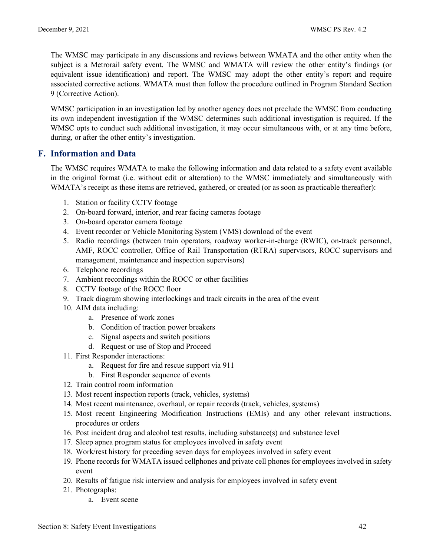The WMSC may participate in any discussions and reviews between WMATA and the other entity when the subject is a Metrorail safety event. The WMSC and WMATA will review the other entity's findings (or equivalent issue identification) and report. The WMSC may adopt the other entity's report and require associated corrective actions. WMATA must then follow the procedure outlined in Program Standard Section 9 (Corrective Action).

WMSC participation in an investigation led by another agency does not preclude the WMSC from conducting its own independent investigation if the WMSC determines such additional investigation is required. If the WMSC opts to conduct such additional investigation, it may occur simultaneous with, or at any time before, during, or after the other entity's investigation.

# <span id="page-42-0"></span>**F. Information and Data**

The WMSC requires WMATA to make the following information and data related to a safety event available in the original format (i.e. without edit or alteration) to the WMSC immediately and simultaneously with WMATA's receipt as these items are retrieved, gathered, or created (or as soon as practicable thereafter):

- 1. Station or facility CCTV footage
- 2. On-board forward, interior, and rear facing cameras footage
- 3. On-board operator camera footage
- 4. Event recorder or Vehicle Monitoring System (VMS) download of the event
- 5. Radio recordings (between train operators, roadway worker-in-charge (RWIC), on-track personnel, AMF, ROCC controller, Office of Rail Transportation (RTRA) supervisors, ROCC supervisors and management, maintenance and inspection supervisors)
- 6. Telephone recordings
- 7. Ambient recordings within the ROCC or other facilities
- 8. CCTV footage of the ROCC floor
- 9. Track diagram showing interlockings and track circuits in the area of the event
- 10. AIM data including:
	- a. Presence of work zones
	- b. Condition of traction power breakers
	- c. Signal aspects and switch positions
	- d. Request or use of Stop and Proceed
- 11. First Responder interactions:
	- a. Request for fire and rescue support via 911
	- b. First Responder sequence of events
- 12. Train control room information
- 13. Most recent inspection reports (track, vehicles, systems)
- 14. Most recent maintenance, overhaul, or repair records (track, vehicles, systems)
- 15. Most recent Engineering Modification Instructions (EMIs) and any other relevant instructions. procedures or orders
- 16. Post incident drug and alcohol test results, including substance(s) and substance level
- 17. Sleep apnea program status for employees involved in safety event
- 18. Work/rest history for preceding seven days for employees involved in safety event
- 19. Phone records for WMATA issued cellphones and private cell phones for employees involved in safety event
- 20. Results of fatigue risk interview and analysis for employees involved in safety event
- 21. Photographs:
	- a. Event scene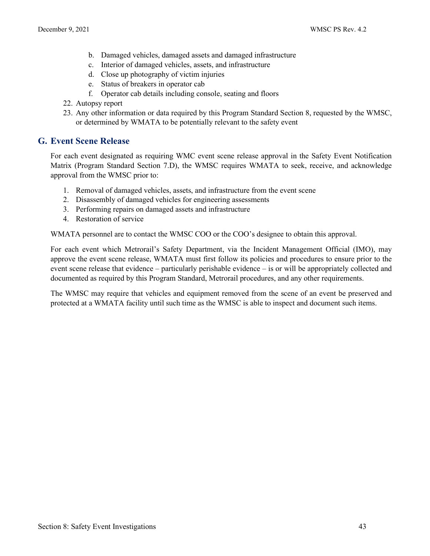- b. Damaged vehicles, damaged assets and damaged infrastructure
- c. Interior of damaged vehicles, assets, and infrastructure
- d. Close up photography of victim injuries
- e. Status of breakers in operator cab
- f. Operator cab details including console, seating and floors
- 22. Autopsy report
- 23. Any other information or data required by this Program Standard Section 8, requested by the WMSC, or determined by WMATA to be potentially relevant to the safety event

# <span id="page-43-0"></span>**G. Event Scene Release**

For each event designated as requiring WMC event scene release approval in the Safety Event Notification Matrix (Program Standard Section 7.D), the WMSC requires WMATA to seek, receive, and acknowledge approval from the WMSC prior to:

- 1. Removal of damaged vehicles, assets, and infrastructure from the event scene
- 2. Disassembly of damaged vehicles for engineering assessments
- 3. Performing repairs on damaged assets and infrastructure
- 4. Restoration of service

WMATA personnel are to contact the WMSC COO or the COO's designee to obtain this approval.

For each event which Metrorail's Safety Department, via the Incident Management Official (IMO), may approve the event scene release, WMATA must first follow its policies and procedures to ensure prior to the event scene release that evidence – particularly perishable evidence – is or will be appropriately collected and documented as required by this Program Standard, Metrorail procedures, and any other requirements.

The WMSC may require that vehicles and equipment removed from the scene of an event be preserved and protected at a WMATA facility until such time as the WMSC is able to inspect and document such items.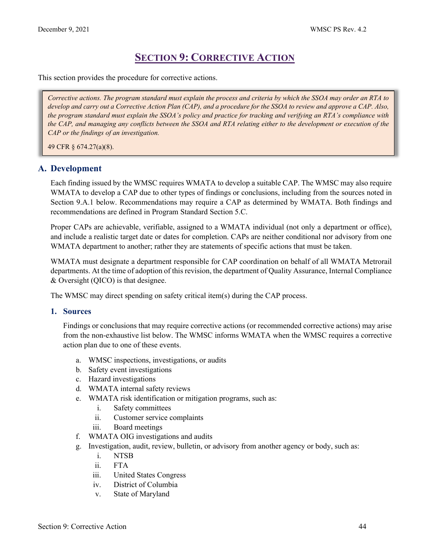# **SECTION 9: CORRECTIVE ACTION**

<span id="page-44-0"></span>This section provides the procedure for corrective actions.

*Corrective actions. The program standard must explain the process and criteria by which the SSOA may order an RTA to develop and carry out a Corrective Action Plan (CAP), and a procedure for the SSOA to review and approve a CAP. Also, the program standard must explain the SSOA's policy and practice for tracking and verifying an RTA's compliance with the CAP, and managing any conflicts between the SSOA and RTA relating either to the development or execution of the CAP or the findings of an investigation.*

49 CFR § 674.27(a)(8).

# <span id="page-44-1"></span>**A. Development**

Each finding issued by the WMSC requires WMATA to develop a suitable CAP. The WMSC may also require WMATA to develop a CAP due to other types of findings or conclusions, including from the sources noted in Section 9.A.1 below. Recommendations may require a CAP as determined by WMATA. Both findings and recommendations are defined in Program Standard Section 5.C.

Proper CAPs are achievable, verifiable, assigned to a WMATA individual (not only a department or office), and include a realistic target date or dates for completion. CAPs are neither conditional nor advisory from one WMATA department to another; rather they are statements of specific actions that must be taken.

WMATA must designate a department responsible for CAP coordination on behalf of all WMATA Metrorail departments. At the time of adoption of this revision, the department of Quality Assurance, Internal Compliance & Oversight (QICO) is that designee.

The WMSC may direct spending on safety critical item(s) during the CAP process.

#### **1. Sources**

Findings or conclusions that may require corrective actions (or recommended corrective actions) may arise from the non-exhaustive list below. The WMSC informs WMATA when the WMSC requires a corrective action plan due to one of these events.

- a. WMSC inspections, investigations, or audits
- b. Safety event investigations
- c. Hazard investigations
- d. WMATA internal safety reviews
- e. WMATA risk identification or mitigation programs, such as:
	- i. Safety committees
	- ii. Customer service complaints
	- iii. Board meetings
- f. WMATA OIG investigations and audits
- g. Investigation, audit, review, bulletin, or advisory from another agency or body, such as:
	- i. NTSB
	- ii. FTA
	- iii. United States Congress
	- iv. District of Columbia
	- v. State of Maryland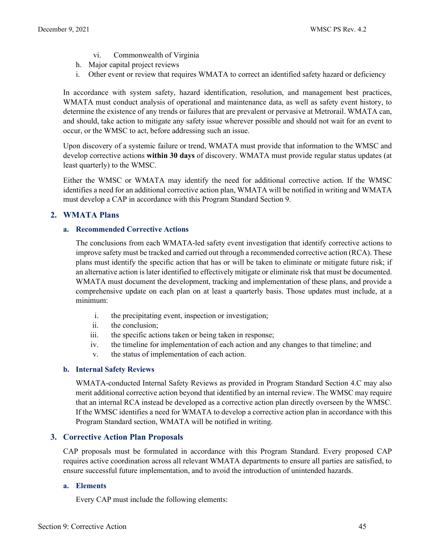- vi. Commonwealth of Virginia
- h. Major capital project reviews
- i. Other event or review that requires WMATA to correct an identified safety hazard or deficiency

In accordance with system safety, hazard identification, resolution, and management best practices, WMATA must conduct analysis of operational and maintenance data, as well as safety event history, to determine the existence of any trends or failures that are prevalent or pervasive at Metrorail. WMATA can, and should, take action to mitigate any safety issue wherever possible and should not wait for an event to occur, or the WMSC to act, before addressing such an issue.

Upon discovery of a systemic failure or trend, WMATA must provide that information to the WMSC and develop corrective actions **within 30 days** of discovery. WMATA must provide regular status updates (at least quarterly) to the WMSC.

Either the WMSC or WMATA may identify the need for additional corrective action. If the WMSC identifies a need for an additional corrective action plan, WMATA will be notified in writing and WMATA must develop a CAP in accordance with this Program Standard Section 9.

#### **2. WMATA Plans**

#### **a. Recommended Corrective Actions**

The conclusions from each WMATA-led safety event investigation that identify corrective actions to improve safety must be tracked and carried out through a recommended corrective action (RCA). These plans must identify the specific action that has or will be taken to eliminate or mitigate future risk; if an alternative action is later identified to effectively mitigate or eliminate risk that must be documented. WMATA must document the development, tracking and implementation of these plans, and provide a comprehensive update on each plan on at least a quarterly basis. Those updates must include, at a minimum:

- i. the precipitating event, inspection or investigation;
- ii. the conclusion;
- iii. the specific actions taken or being taken in response;
- iv. the timeline for implementation of each action and any changes to that timeline; and
- v. the status of implementation of each action.

#### **b. Internal Safety Reviews**

WMATA-conducted Internal Safety Reviews as provided in Program Standard Section 4.C may also merit additional corrective action beyond that identified by an internal review. The WMSC may require that an internal RCA instead be developed as a corrective action plan directly overseen by the WMSC. If the WMSC identifies a need for WMATA to develop a corrective action plan in accordance with this Program Standard section, WMATA will be notified in writing.

#### **3. Corrective Action Plan Proposals**

CAP proposals must be formulated in accordance with this Program Standard. Every proposed CAP requires active coordination across all relevant WMATA departments to ensure all parties are satisfied, to ensure successful future implementation, and to avoid the introduction of unintended hazards.

#### **a. Elements**

Every CAP must include the following elements: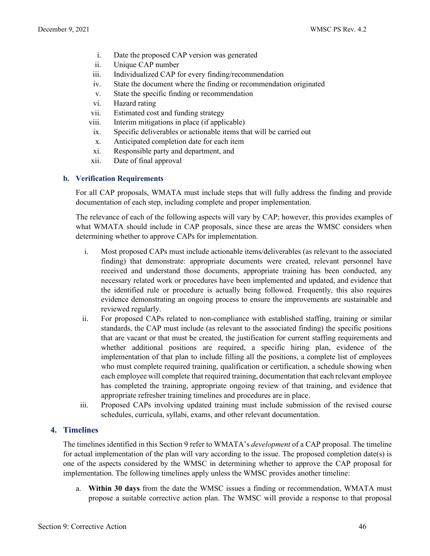- i. Date the proposed CAP version was generated
- ii. Unique CAP number
- iii. Individualized CAP for every finding/recommendation
- iv. State the document where the finding or recommendation originated
- v. State the specific finding or recommendation
- vi. Hazard rating
- vii. Estimated cost and funding strategy
- viii. Interim mitigations in place (if applicable)
- ix. Specific deliverables or actionable items that will be carried out
- x. Anticipated completion date for each item
- xi. Responsible party and department, and
- xii. Date of final approval

#### **b. Verification Requirements**

For all CAP proposals, WMATA must include steps that will fully address the finding and provide documentation of each step, including complete and proper implementation.

The relevance of each of the following aspects will vary by CAP; however, this provides examples of what WMATA should include in CAP proposals, since these are areas the WMSC considers when determining whether to approve CAPs for implementation.

- i. Most proposed CAPs must include actionable items/deliverables (as relevant to the associated finding) that demonstrate: appropriate documents were created, relevant personnel have received and understand those documents, appropriate training has been conducted, any necessary related work or procedures have been implemented and updated, and evidence that the identified rule or procedure is actually being followed. Frequently, this also requires evidence demonstrating an ongoing process to ensure the improvements are sustainable and reviewed regularly.
- ii. For proposed CAPs related to non-compliance with established staffing, training or similar standards, the CAP must include (as relevant to the associated finding) the specific positions that are vacant or that must be created, the justification for current staffing requirements and whether additional positions are required, a specific hiring plan, evidence of the implementation of that plan to include filling all the positions, a complete list of employees who must complete required training, qualification or certification, a schedule showing when each employee will complete that required training, documentation that each relevant employee has completed the training, appropriate ongoing review of that training, and evidence that appropriate refresher training timelines and procedures are in place.
- iii. Proposed CAPs involving updated training must include submission of the revised course schedules, curricula, syllabi, exams, and other relevant documentation.

# **4. Timelines**

The timelines identified in this Section 9 refer to WMATA's *development* of a CAP proposal. The timeline for actual implementation of the plan will vary according to the issue. The proposed completion date(s) is one of the aspects considered by the WMSC in determining whether to approve the CAP proposal for implementation. The following timelines apply unless the WMSC provides another timeline:

a. **Within 30 days** from the date the WMSC issues a finding or recommendation, WMATA must propose a suitable corrective action plan. The WMSC will provide a response to that proposal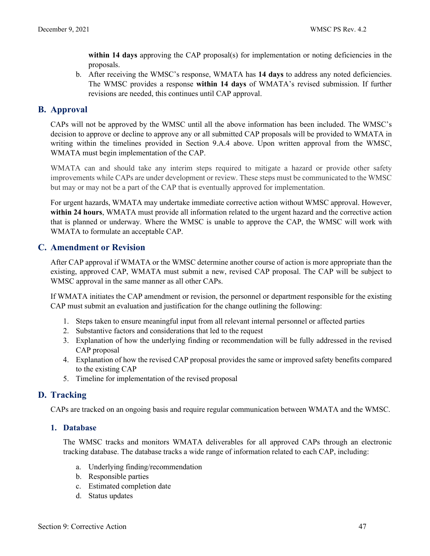**within 14 days** approving the CAP proposal(s) for implementation or noting deficiencies in the proposals.

b. After receiving the WMSC's response, WMATA has **14 days** to address any noted deficiencies. The WMSC provides a response **within 14 days** of WMATA's revised submission. If further revisions are needed, this continues until CAP approval.

# <span id="page-47-0"></span>**B. Approval**

CAPs will not be approved by the WMSC until all the above information has been included. The WMSC's decision to approve or decline to approve any or all submitted CAP proposals will be provided to WMATA in writing within the timelines provided in Section 9.A.4 above. Upon written approval from the WMSC, WMATA must begin implementation of the CAP.

WMATA can and should take any interim steps required to mitigate a hazard or provide other safety improvements while CAPs are under development or review. These steps must be communicated to the WMSC but may or may not be a part of the CAP that is eventually approved for implementation.

For urgent hazards, WMATA may undertake immediate corrective action without WMSC approval. However, **within 24 hours**, WMATA must provide all information related to the urgent hazard and the corrective action that is planned or underway. Where the WMSC is unable to approve the CAP, the WMSC will work with WMATA to formulate an acceptable CAP.

# <span id="page-47-1"></span>**C. Amendment or Revision**

After CAP approval if WMATA or the WMSC determine another course of action is more appropriate than the existing, approved CAP, WMATA must submit a new, revised CAP proposal. The CAP will be subject to WMSC approval in the same manner as all other CAPs.

If WMATA initiates the CAP amendment or revision, the personnel or department responsible for the existing CAP must submit an evaluation and justification for the change outlining the following:

- 1. Steps taken to ensure meaningful input from all relevant internal personnel or affected parties
- 2. Substantive factors and considerations that led to the request
- 3. Explanation of how the underlying finding or recommendation will be fully addressed in the revised CAP proposal
- 4. Explanation of how the revised CAP proposal provides the same or improved safety benefits compared to the existing CAP
- 5. Timeline for implementation of the revised proposal

# <span id="page-47-2"></span>**D. Tracking**

CAPs are tracked on an ongoing basis and require regular communication between WMATA and the WMSC.

#### **1. Database**

The WMSC tracks and monitors WMATA deliverables for all approved CAPs through an electronic tracking database. The database tracks a wide range of information related to each CAP, including:

- a. Underlying finding/recommendation
- b. Responsible parties
- c. Estimated completion date
- d. Status updates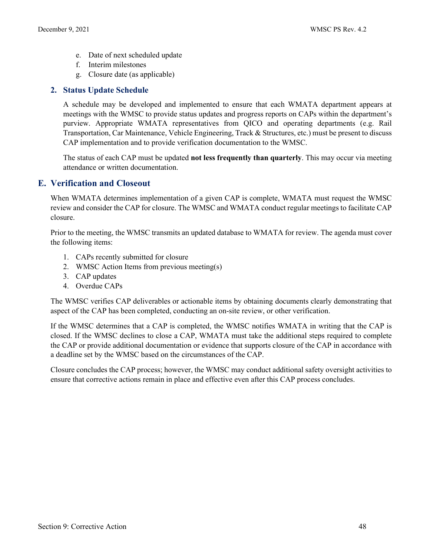- e. Date of next scheduled update
- f. Interim milestones
- g. Closure date (as applicable)

#### **2. Status Update Schedule**

A schedule may be developed and implemented to ensure that each WMATA department appears at meetings with the WMSC to provide status updates and progress reports on CAPs within the department's purview. Appropriate WMATA representatives from QICO and operating departments (e.g. Rail Transportation, Car Maintenance, Vehicle Engineering, Track & Structures, etc.) must be present to discuss CAP implementation and to provide verification documentation to the WMSC.

The status of each CAP must be updated **not less frequently than quarterly**. This may occur via meeting attendance or written documentation.

#### <span id="page-48-0"></span>**E. Verification and Closeout**

When WMATA determines implementation of a given CAP is complete, WMATA must request the WMSC review and consider the CAP for closure. The WMSC and WMATA conduct regular meetings to facilitate CAP closure.

Prior to the meeting, the WMSC transmits an updated database to WMATA for review. The agenda must cover the following items:

- 1. CAPs recently submitted for closure
- 2. WMSC Action Items from previous meeting(s)
- 3. CAP updates
- 4. Overdue CAPs

The WMSC verifies CAP deliverables or actionable items by obtaining documents clearly demonstrating that aspect of the CAP has been completed, conducting an on-site review, or other verification.

If the WMSC determines that a CAP is completed, the WMSC notifies WMATA in writing that the CAP is closed. If the WMSC declines to close a CAP, WMATA must take the additional steps required to complete the CAP or provide additional documentation or evidence that supports closure of the CAP in accordance with a deadline set by the WMSC based on the circumstances of the CAP.

Closure concludes the CAP process; however, the WMSC may conduct additional safety oversight activities to ensure that corrective actions remain in place and effective even after this CAP process concludes.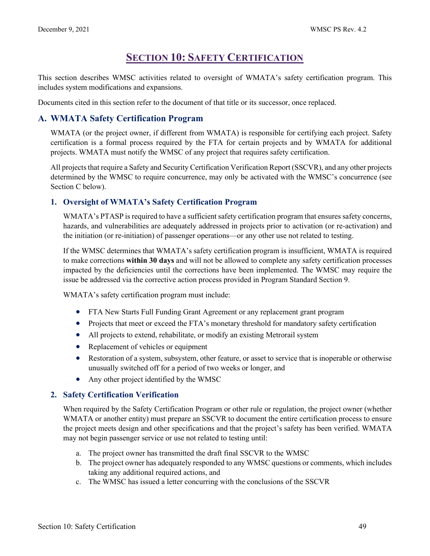# **SECTION 10: SAFETY CERTIFICATION**

<span id="page-49-0"></span>This section describes WMSC activities related to oversight of WMATA's safety certification program. This includes system modifications and expansions.

Documents cited in this section refer to the document of that title or its successor, once replaced.

# <span id="page-49-1"></span>**A. WMATA Safety Certification Program**

WMATA (or the project owner, if different from WMATA) is responsible for certifying each project. Safety certification is a formal process required by the FTA for certain projects and by WMATA for additional projects. WMATA must notify the WMSC of any project that requires safety certification.

All projects that require a Safety and Security Certification Verification Report (SSCVR), and any other projects determined by the WMSC to require concurrence, may only be activated with the WMSC's concurrence (see Section C below).

# **1. Oversight of WMATA's Safety Certification Program**

WMATA's PTASP is required to have a sufficient safety certification program that ensures safety concerns, hazards, and vulnerabilities are adequately addressed in projects prior to activation (or re-activation) and the initiation (or re-initiation) of passenger operations—or any other use not related to testing.

If the WMSC determines that WMATA's safety certification program is insufficient, WMATA is required to make corrections **within 30 days** and will not be allowed to complete any safety certification processes impacted by the deficiencies until the corrections have been implemented. The WMSC may require the issue be addressed via the corrective action process provided in Program Standard Section 9.

WMATA's safety certification program must include:

- FTA New Starts Full Funding Grant Agreement or any replacement grant program
- Projects that meet or exceed the FTA's monetary threshold for mandatory safety certification
- All projects to extend, rehabilitate, or modify an existing Metrorail system
- Replacement of vehicles or equipment
- Restoration of a system, subsystem, other feature, or asset to service that is inoperable or otherwise unusually switched off for a period of two weeks or longer, and
- Any other project identified by the WMSC

#### **2. Safety Certification Verification**

When required by the Safety Certification Program or other rule or regulation, the project owner (whether WMATA or another entity) must prepare an SSCVR to document the entire certification process to ensure the project meets design and other specifications and that the project's safety has been verified. WMATA may not begin passenger service or use not related to testing until:

- a. The project owner has transmitted the draft final SSCVR to the WMSC
- b. The project owner has adequately responded to any WMSC questions or comments, which includes taking any additional required actions, and
- c. The WMSC has issued a letter concurring with the conclusions of the SSCVR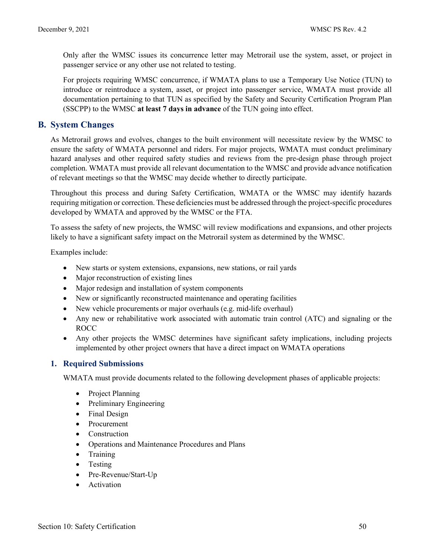Only after the WMSC issues its concurrence letter may Metrorail use the system, asset, or project in passenger service or any other use not related to testing.

For projects requiring WMSC concurrence, if WMATA plans to use a Temporary Use Notice (TUN) to introduce or reintroduce a system, asset, or project into passenger service, WMATA must provide all documentation pertaining to that TUN as specified by the Safety and Security Certification Program Plan (SSCPP) to the WMSC **at least 7 days in advance** of the TUN going into effect.

#### <span id="page-50-0"></span>**B. System Changes**

As Metrorail grows and evolves, changes to the built environment will necessitate review by the WMSC to ensure the safety of WMATA personnel and riders. For major projects, WMATA must conduct preliminary hazard analyses and other required safety studies and reviews from the pre-design phase through project completion. WMATA must provide all relevant documentation to the WMSC and provide advance notification of relevant meetings so that the WMSC may decide whether to directly participate.

Throughout this process and during Safety Certification, WMATA or the WMSC may identify hazards requiring mitigation or correction. These deficiencies must be addressed through the project-specific procedures developed by WMATA and approved by the WMSC or the FTA.

To assess the safety of new projects, the WMSC will review modifications and expansions, and other projects likely to have a significant safety impact on the Metrorail system as determined by the WMSC.

Examples include:

- New starts or system extensions, expansions, new stations, or rail yards
- Major reconstruction of existing lines
- Major redesign and installation of system components
- New or significantly reconstructed maintenance and operating facilities
- New vehicle procurements or major overhauls (e.g. mid-life overhaul)
- Any new or rehabilitative work associated with automatic train control (ATC) and signaling or the ROCC
- Any other projects the WMSC determines have significant safety implications, including projects implemented by other project owners that have a direct impact on WMATA operations

#### **1. Required Submissions**

WMATA must provide documents related to the following development phases of applicable projects:

- Project Planning
- Preliminary Engineering
- Final Design
- Procurement
- Construction
- Operations and Maintenance Procedures and Plans
- Training
- Testing
- Pre-Revenue/Start-Up
- Activation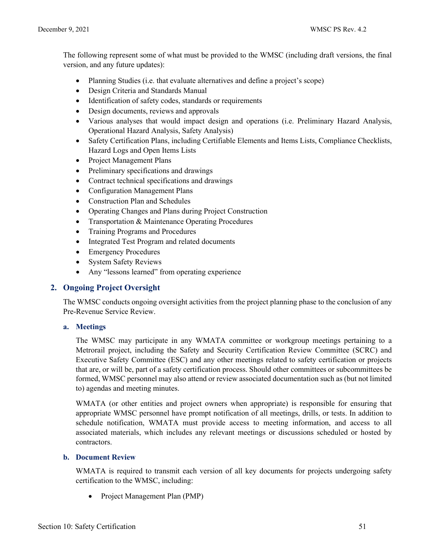The following represent some of what must be provided to the WMSC (including draft versions, the final version, and any future updates):

- Planning Studies (i.e. that evaluate alternatives and define a project's scope)
- Design Criteria and Standards Manual
- Identification of safety codes, standards or requirements
- Design documents, reviews and approvals
- Various analyses that would impact design and operations (i.e. Preliminary Hazard Analysis, Operational Hazard Analysis, Safety Analysis)
- Safety Certification Plans, including Certifiable Elements and Items Lists, Compliance Checklists, Hazard Logs and Open Items Lists
- Project Management Plans
- Preliminary specifications and drawings
- Contract technical specifications and drawings
- Configuration Management Plans
- Construction Plan and Schedules
- Operating Changes and Plans during Project Construction
- Transportation & Maintenance Operating Procedures
- Training Programs and Procedures
- Integrated Test Program and related documents
- Emergency Procedures
- System Safety Reviews
- Any "lessons learned" from operating experience

#### **2. Ongoing Project Oversight**

The WMSC conducts ongoing oversight activities from the project planning phase to the conclusion of any Pre-Revenue Service Review.

#### **a. Meetings**

The WMSC may participate in any WMATA committee or workgroup meetings pertaining to a Metrorail project, including the Safety and Security Certification Review Committee (SCRC) and Executive Safety Committee (ESC) and any other meetings related to safety certification or projects that are, or will be, part of a safety certification process. Should other committees or subcommittees be formed, WMSC personnel may also attend or review associated documentation such as (but not limited to) agendas and meeting minutes.

WMATA (or other entities and project owners when appropriate) is responsible for ensuring that appropriate WMSC personnel have prompt notification of all meetings, drills, or tests. In addition to schedule notification, WMATA must provide access to meeting information, and access to all associated materials, which includes any relevant meetings or discussions scheduled or hosted by contractors.

#### **b. Document Review**

WMATA is required to transmit each version of all key documents for projects undergoing safety certification to the WMSC, including:

• Project Management Plan (PMP)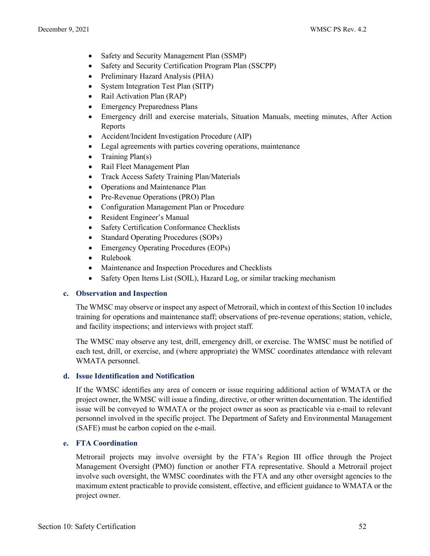- Safety and Security Management Plan (SSMP)
- Safety and Security Certification Program Plan (SSCPP)
- Preliminary Hazard Analysis (PHA)
- System Integration Test Plan (SITP)
- Rail Activation Plan (RAP)
- Emergency Preparedness Plans
- Emergency drill and exercise materials, Situation Manuals, meeting minutes, After Action Reports
- Accident/Incident Investigation Procedure (AIP)
- Legal agreements with parties covering operations, maintenance
- Training Plan(s)
- Rail Fleet Management Plan
- Track Access Safety Training Plan/Materials
- Operations and Maintenance Plan
- Pre-Revenue Operations (PRO) Plan
- Configuration Management Plan or Procedure
- Resident Engineer's Manual
- Safety Certification Conformance Checklists
- Standard Operating Procedures (SOPs)
- Emergency Operating Procedures (EOPs)
- Rulebook
- Maintenance and Inspection Procedures and Checklists
- Safety Open Items List (SOIL), Hazard Log, or similar tracking mechanism

#### **c. Observation and Inspection**

The WMSC may observe or inspect any aspect of Metrorail, which in context of this Section 10 includes training for operations and maintenance staff; observations of pre-revenue operations; station, vehicle, and facility inspections; and interviews with project staff.

The WMSC may observe any test, drill, emergency drill, or exercise. The WMSC must be notified of each test, drill, or exercise, and (where appropriate) the WMSC coordinates attendance with relevant WMATA personnel.

#### **d. Issue Identification and Notification**

If the WMSC identifies any area of concern or issue requiring additional action of WMATA or the project owner, the WMSC will issue a finding, directive, or other written documentation. The identified issue will be conveyed to WMATA or the project owner as soon as practicable via e-mail to relevant personnel involved in the specific project. The Department of Safety and Environmental Management (SAFE) must be carbon copied on the e-mail.

#### **e. FTA Coordination**

Metrorail projects may involve oversight by the FTA's Region III office through the Project Management Oversight (PMO) function or another FTA representative. Should a Metrorail project involve such oversight, the WMSC coordinates with the FTA and any other oversight agencies to the maximum extent practicable to provide consistent, effective, and efficient guidance to WMATA or the project owner.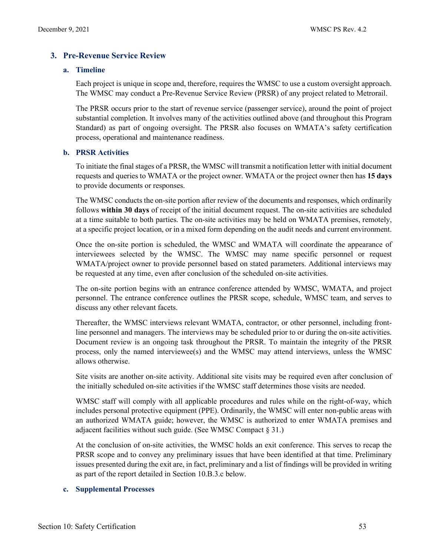### **3. Pre-Revenue Service Review**

#### **a. Timeline**

Each project is unique in scope and, therefore, requires the WMSC to use a custom oversight approach. The WMSC may conduct a Pre-Revenue Service Review (PRSR) of any project related to Metrorail.

The PRSR occurs prior to the start of revenue service (passenger service), around the point of project substantial completion. It involves many of the activities outlined above (and throughout this Program Standard) as part of ongoing oversight. The PRSR also focuses on WMATA's safety certification process, operational and maintenance readiness.

#### **b. PRSR Activities**

To initiate the final stages of a PRSR, the WMSC will transmit a notification letter with initial document requests and queries to WMATA or the project owner. WMATA or the project owner then has **15 days** to provide documents or responses.

The WMSC conducts the on-site portion after review of the documents and responses, which ordinarily follows **within 30 days** of receipt of the initial document request. The on-site activities are scheduled at a time suitable to both parties. The on-site activities may be held on WMATA premises, remotely, at a specific project location, or in a mixed form depending on the audit needs and current environment.

Once the on-site portion is scheduled, the WMSC and WMATA will coordinate the appearance of interviewees selected by the WMSC. The WMSC may name specific personnel or request WMATA/project owner to provide personnel based on stated parameters. Additional interviews may be requested at any time, even after conclusion of the scheduled on-site activities.

The on-site portion begins with an entrance conference attended by WMSC, WMATA, and project personnel. The entrance conference outlines the PRSR scope, schedule, WMSC team, and serves to discuss any other relevant facets.

Thereafter, the WMSC interviews relevant WMATA, contractor, or other personnel, including frontline personnel and managers. The interviews may be scheduled prior to or during the on-site activities. Document review is an ongoing task throughout the PRSR. To maintain the integrity of the PRSR process, only the named interviewee(s) and the WMSC may attend interviews, unless the WMSC allows otherwise.

Site visits are another on-site activity. Additional site visits may be required even after conclusion of the initially scheduled on-site activities if the WMSC staff determines those visits are needed.

WMSC staff will comply with all applicable procedures and rules while on the right-of-way, which includes personal protective equipment (PPE). Ordinarily, the WMSC will enter non-public areas with an authorized WMATA guide; however, the WMSC is authorized to enter WMATA premises and adjacent facilities without such guide. (See WMSC Compact  $\S 31$ .)

At the conclusion of on-site activities, the WMSC holds an exit conference. This serves to recap the PRSR scope and to convey any preliminary issues that have been identified at that time. Preliminary issues presented during the exit are, in fact, preliminary and a list of findings will be provided in writing as part of the report detailed in Section 10.B.3.c below.

#### **c. Supplemental Processes**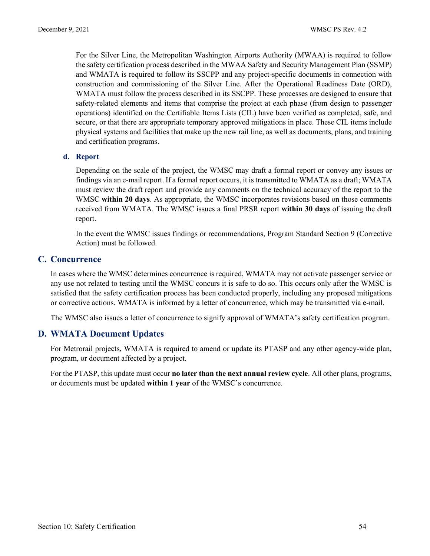For the Silver Line, the Metropolitan Washington Airports Authority (MWAA) is required to follow the safety certification process described in the MWAA Safety and Security Management Plan (SSMP) and WMATA is required to follow its SSCPP and any project-specific documents in connection with construction and commissioning of the Silver Line. After the Operational Readiness Date (ORD), WMATA must follow the process described in its SSCPP. These processes are designed to ensure that safety-related elements and items that comprise the project at each phase (from design to passenger operations) identified on the Certifiable Items Lists (CIL) have been verified as completed, safe, and secure, or that there are appropriate temporary approved mitigations in place. These CIL items include physical systems and facilities that make up the new rail line, as well as documents, plans, and training and certification programs.

#### **d. Report**

Depending on the scale of the project, the WMSC may draft a formal report or convey any issues or findings via an e-mail report. If a formal report occurs, it is transmitted to WMATA as a draft; WMATA must review the draft report and provide any comments on the technical accuracy of the report to the WMSC **within 20 days**. As appropriate, the WMSC incorporates revisions based on those comments received from WMATA. The WMSC issues a final PRSR report **within 30 days** of issuing the draft report.

In the event the WMSC issues findings or recommendations, Program Standard Section 9 (Corrective Action) must be followed.

### <span id="page-54-0"></span>**C. Concurrence**

In cases where the WMSC determines concurrence is required, WMATA may not activate passenger service or any use not related to testing until the WMSC concurs it is safe to do so. This occurs only after the WMSC is satisfied that the safety certification process has been conducted properly, including any proposed mitigations or corrective actions. WMATA is informed by a letter of concurrence, which may be transmitted via e-mail.

The WMSC also issues a letter of concurrence to signify approval of WMATA's safety certification program.

# <span id="page-54-1"></span>**D. WMATA Document Updates**

For Metrorail projects, WMATA is required to amend or update its PTASP and any other agency-wide plan, program, or document affected by a project.

For the PTASP, this update must occur **no later than the next annual review cycle**. All other plans, programs, or documents must be updated **within 1 year** of the WMSC's concurrence.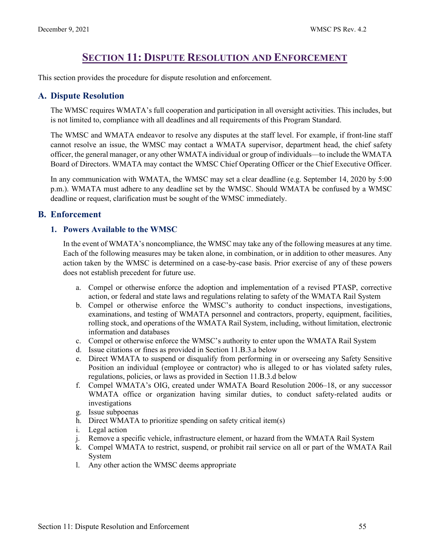# **SECTION 11: DISPUTE RESOLUTION AND ENFORCEMENT**

<span id="page-55-0"></span>This section provides the procedure for dispute resolution and enforcement.

# <span id="page-55-1"></span>**A. Dispute Resolution**

The WMSC requires WMATA's full cooperation and participation in all oversight activities. This includes, but is not limited to, compliance with all deadlines and all requirements of this Program Standard.

The WMSC and WMATA endeavor to resolve any disputes at the staff level. For example, if front-line staff cannot resolve an issue, the WMSC may contact a WMATA supervisor, department head, the chief safety officer, the general manager, or any other WMATA individual or group of individuals—to include the WMATA Board of Directors. WMATA may contact the WMSC Chief Operating Officer or the Chief Executive Officer.

In any communication with WMATA, the WMSC may set a clear deadline (e.g. September 14, 2020 by 5:00 p.m.). WMATA must adhere to any deadline set by the WMSC. Should WMATA be confused by a WMSC deadline or request, clarification must be sought of the WMSC immediately.

# <span id="page-55-2"></span>**B. Enforcement**

### **1. Powers Available to the WMSC**

In the event of WMATA's noncompliance, the WMSC may take any of the following measures at any time. Each of the following measures may be taken alone, in combination, or in addition to other measures. Any action taken by the WMSC is determined on a case-by-case basis. Prior exercise of any of these powers does not establish precedent for future use.

- a. Compel or otherwise enforce the adoption and implementation of a revised PTASP, corrective action, or federal and state laws and regulations relating to safety of the WMATA Rail System
- b. Compel or otherwise enforce the WMSC's authority to conduct inspections, investigations, examinations, and testing of WMATA personnel and contractors, property, equipment, facilities, rolling stock, and operations of the WMATA Rail System, including, without limitation, electronic information and databases
- c. Compel or otherwise enforce the WMSC's authority to enter upon the WMATA Rail System
- d. Issue citations or fines as provided in Section 11.B.3.a below
- e. Direct WMATA to suspend or disqualify from performing in or overseeing any Safety Sensitive Position an individual (employee or contractor) who is alleged to or has violated safety rules, regulations, policies, or laws as provided in Section 11.B.3.d below
- f. Compel WMATA's OIG, created under WMATA Board Resolution 2006–18, or any successor WMATA office or organization having similar duties, to conduct safety-related audits or investigations
- g. Issue subpoenas
- h. Direct WMATA to prioritize spending on safety critical item(s)
- i. Legal action
- j. Remove a specific vehicle, infrastructure element, or hazard from the WMATA Rail System
- k. Compel WMATA to restrict, suspend, or prohibit rail service on all or part of the WMATA Rail System
- l. Any other action the WMSC deems appropriate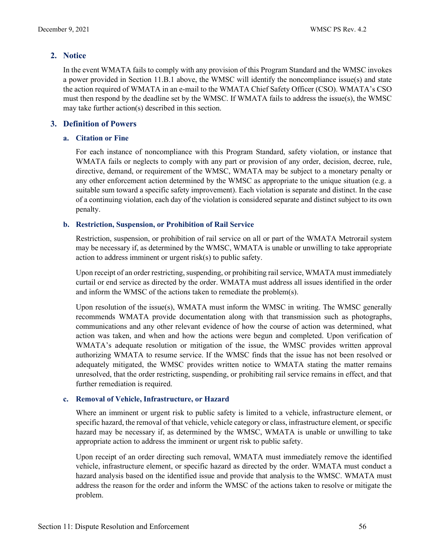# **2. Notice**

In the event WMATA fails to comply with any provision of this Program Standard and the WMSC invokes a power provided in Section 11.B.1 above, the WMSC will identify the noncompliance issue(s) and state the action required of WMATA in an e-mail to the WMATA Chief Safety Officer (CSO). WMATA's CSO must then respond by the deadline set by the WMSC. If WMATA fails to address the issue(s), the WMSC may take further action(s) described in this section.

### **3. Definition of Powers**

#### **a. Citation or Fine**

For each instance of noncompliance with this Program Standard, safety violation, or instance that WMATA fails or neglects to comply with any part or provision of any order, decision, decree, rule, directive, demand, or requirement of the WMSC, WMATA may be subject to a monetary penalty or any other enforcement action determined by the WMSC as appropriate to the unique situation (e.g. a suitable sum toward a specific safety improvement). Each violation is separate and distinct. In the case of a continuing violation, each day of the violation is considered separate and distinct subject to its own penalty.

#### **b. Restriction, Suspension, or Prohibition of Rail Service**

Restriction, suspension, or prohibition of rail service on all or part of the WMATA Metrorail system may be necessary if, as determined by the WMSC, WMATA is unable or unwilling to take appropriate action to address imminent or urgent risk(s) to public safety.

Upon receipt of an order restricting, suspending, or prohibiting rail service, WMATA must immediately curtail or end service as directed by the order. WMATA must address all issues identified in the order and inform the WMSC of the actions taken to remediate the problem(s).

Upon resolution of the issue(s), WMATA must inform the WMSC in writing. The WMSC generally recommends WMATA provide documentation along with that transmission such as photographs, communications and any other relevant evidence of how the course of action was determined, what action was taken, and when and how the actions were begun and completed. Upon verification of WMATA's adequate resolution or mitigation of the issue, the WMSC provides written approval authorizing WMATA to resume service. If the WMSC finds that the issue has not been resolved or adequately mitigated, the WMSC provides written notice to WMATA stating the matter remains unresolved, that the order restricting, suspending, or prohibiting rail service remains in effect, and that further remediation is required.

#### **c. Removal of Vehicle, Infrastructure, or Hazard**

Where an imminent or urgent risk to public safety is limited to a vehicle, infrastructure element, or specific hazard, the removal of that vehicle, vehicle category or class, infrastructure element, or specific hazard may be necessary if, as determined by the WMSC, WMATA is unable or unwilling to take appropriate action to address the imminent or urgent risk to public safety.

Upon receipt of an order directing such removal, WMATA must immediately remove the identified vehicle, infrastructure element, or specific hazard as directed by the order. WMATA must conduct a hazard analysis based on the identified issue and provide that analysis to the WMSC. WMATA must address the reason for the order and inform the WMSC of the actions taken to resolve or mitigate the problem.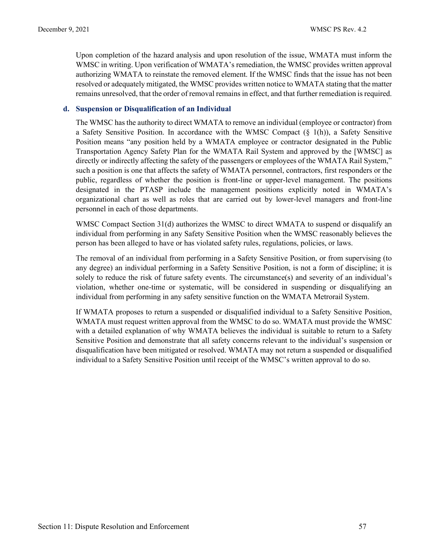Upon completion of the hazard analysis and upon resolution of the issue, WMATA must inform the WMSC in writing. Upon verification of WMATA's remediation, the WMSC provides written approval authorizing WMATA to reinstate the removed element. If the WMSC finds that the issue has not been resolved or adequately mitigated, the WMSC provides written notice to WMATA stating that the matter remains unresolved, that the order of removal remains in effect, and that further remediation is required.

#### **d. Suspension or Disqualification of an Individual**

The WMSC has the authority to direct WMATA to remove an individual (employee or contractor) from a Safety Sensitive Position. In accordance with the WMSC Compact  $(\S 1(h))$ , a Safety Sensitive Position means "any position held by a WMATA employee or contractor designated in the Public Transportation Agency Safety Plan for the WMATA Rail System and approved by the [WMSC] as directly or indirectly affecting the safety of the passengers or employees of the WMATA Rail System," such a position is one that affects the safety of WMATA personnel, contractors, first responders or the public, regardless of whether the position is front-line or upper-level management. The positions designated in the PTASP include the management positions explicitly noted in WMATA's organizational chart as well as roles that are carried out by lower-level managers and front-line personnel in each of those departments.

WMSC Compact Section 31(d) authorizes the WMSC to direct WMATA to suspend or disqualify an individual from performing in any Safety Sensitive Position when the WMSC reasonably believes the person has been alleged to have or has violated safety rules, regulations, policies, or laws.

The removal of an individual from performing in a Safety Sensitive Position, or from supervising (to any degree) an individual performing in a Safety Sensitive Position, is not a form of discipline; it is solely to reduce the risk of future safety events. The circumstance(s) and severity of an individual's violation, whether one-time or systematic, will be considered in suspending or disqualifying an individual from performing in any safety sensitive function on the WMATA Metrorail System.

If WMATA proposes to return a suspended or disqualified individual to a Safety Sensitive Position, WMATA must request written approval from the WMSC to do so. WMATA must provide the WMSC with a detailed explanation of why WMATA believes the individual is suitable to return to a Safety Sensitive Position and demonstrate that all safety concerns relevant to the individual's suspension or disqualification have been mitigated or resolved. WMATA may not return a suspended or disqualified individual to a Safety Sensitive Position until receipt of the WMSC's written approval to do so.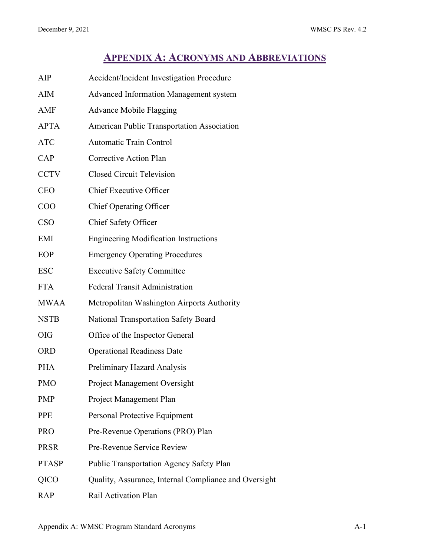# **APPENDIX A: ACRONYMS AND ABBREVIATIONS**

<span id="page-58-0"></span>

| AIP          | Accident/Incident Investigation Procedure             |
|--------------|-------------------------------------------------------|
| AIM          | <b>Advanced Information Management system</b>         |
| AMF          | <b>Advance Mobile Flagging</b>                        |
| <b>APTA</b>  | <b>American Public Transportation Association</b>     |
| <b>ATC</b>   | <b>Automatic Train Control</b>                        |
| CAP          | <b>Corrective Action Plan</b>                         |
| <b>CCTV</b>  | <b>Closed Circuit Television</b>                      |
| <b>CEO</b>   | <b>Chief Executive Officer</b>                        |
| COO          | Chief Operating Officer                               |
| <b>CSO</b>   | Chief Safety Officer                                  |
| EMI          | <b>Engineering Modification Instructions</b>          |
| EOP          | <b>Emergency Operating Procedures</b>                 |
| <b>ESC</b>   | <b>Executive Safety Committee</b>                     |
| <b>FTA</b>   | <b>Federal Transit Administration</b>                 |
| <b>MWAA</b>  | Metropolitan Washington Airports Authority            |
| <b>NSTB</b>  | <b>National Transportation Safety Board</b>           |
| <b>OIG</b>   | Office of the Inspector General                       |
| <b>ORD</b>   | <b>Operational Readiness Date</b>                     |
| <b>PHA</b>   | Preliminary Hazard Analysis                           |
| <b>PMO</b>   | Project Management Oversight                          |
| <b>PMP</b>   | Project Management Plan                               |
| <b>PPE</b>   | Personal Protective Equipment                         |
| <b>PRO</b>   | Pre-Revenue Operations (PRO) Plan                     |
| <b>PRSR</b>  | Pre-Revenue Service Review                            |
| <b>PTASP</b> | <b>Public Transportation Agency Safety Plan</b>       |
| QICO         | Quality, Assurance, Internal Compliance and Oversight |
| <b>RAP</b>   | Rail Activation Plan                                  |